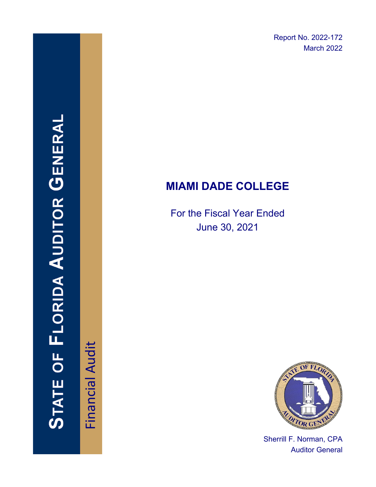Report No. 2022-172 March 2022

## **MIAMI DADE COLLEGE**

For the Fiscal Year Ended June 30, 2021



Sherrill F. Norman, CPA Auditor General

Financial Audit Financial Audit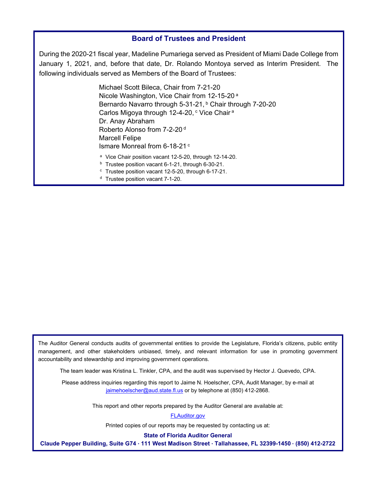#### **Board of Trustees and President**

During the 2020-21 fiscal year, Madeline Pumariega served as President of Miami Dade College from January 1, 2021, and, before that date, Dr. Rolando Montoya served as Interim President. The following individuals served as Members of the Board of Trustees:

> Michael Scott Bileca, Chair from 7-21-20 Nicole Washington, Vice Chair from 12-15-20 a Bernardo Navarro through 5-31-21, <sup>b</sup> Chair through 7-20-20 Carlos Migoya through 12-4-20,  $\degree$  Vice Chair  $\degree$ Dr. Anay Abraham Roberto Alonso from 7-2-20<sup>d</sup> Marcell Felipe Ismare Monreal from 6-18-21<sup>c</sup>

<sup>a</sup> Vice Chair position vacant 12-5-20, through 12-14-20.

- 
- b Trustee position vacant 6-1-21, through 6-30-21.<br>
<sup>c</sup> Trustee position vacant 12-5-20, through 6-17-21.<br>
<sup>d</sup> Trustee position vacant 7-1-20.
- 

The Auditor General conducts audits of governmental entities to provide the Legislature, Florida's citizens, public entity management, and other stakeholders unbiased, timely, and relevant information for use in promoting government accountability and stewardship and improving government operations.

The team leader was Kristina L. Tinkler, CPA, and the audit was supervised by Hector J. Quevedo, CPA.

Please address inquiries regarding this report to Jaime N. Hoelscher, CPA, Audit Manager, by e-mail at jaimehoelscher@aud.state.fl.us or by telephone at (850) 412-2868.

This report and other reports prepared by the Auditor General are available at:

[FLAuditor.gov](http://flauditor.gov/) 

Printed copies of our reports may be requested by contacting us at:

**State of Florida Auditor General** 

**Claude Pepper Building, Suite G74 · 111 West Madison Street · Tallahassee, FL 32399-1450 · (850) 412-2722**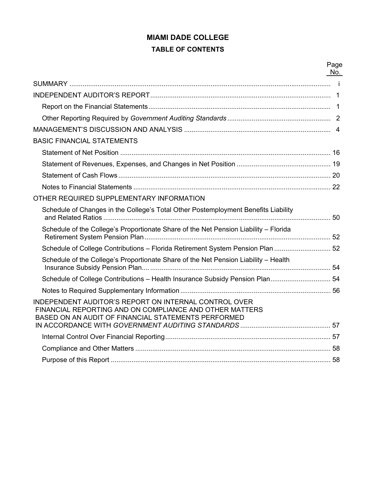## **MIAMI DADE COLLEGE TABLE OF CONTENTS**

|                                                                                                                                                                         | Page<br><u>No.</u> |
|-------------------------------------------------------------------------------------------------------------------------------------------------------------------------|--------------------|
|                                                                                                                                                                         |                    |
|                                                                                                                                                                         |                    |
|                                                                                                                                                                         |                    |
|                                                                                                                                                                         |                    |
|                                                                                                                                                                         |                    |
| <b>BASIC FINANCIAL STATEMENTS</b>                                                                                                                                       |                    |
|                                                                                                                                                                         |                    |
|                                                                                                                                                                         |                    |
|                                                                                                                                                                         |                    |
|                                                                                                                                                                         |                    |
| OTHER REQUIRED SUPPLEMENTARY INFORMATION                                                                                                                                |                    |
| Schedule of Changes in the College's Total Other Postemployment Benefits Liability                                                                                      |                    |
| Schedule of the College's Proportionate Share of the Net Pension Liability - Florida                                                                                    |                    |
| Schedule of College Contributions - Florida Retirement System Pension Plan  52                                                                                          |                    |
| Schedule of the College's Proportionate Share of the Net Pension Liability - Health                                                                                     |                    |
| Schedule of College Contributions - Health Insurance Subsidy Pension Plan 54                                                                                            |                    |
|                                                                                                                                                                         |                    |
| INDEPENDENT AUDITOR'S REPORT ON INTERNAL CONTROL OVER<br>FINANCIAL REPORTING AND ON COMPLIANCE AND OTHER MATTERS<br>BASED ON AN AUDIT OF FINANCIAL STATEMENTS PERFORMED |                    |
|                                                                                                                                                                         |                    |
|                                                                                                                                                                         |                    |
|                                                                                                                                                                         |                    |
|                                                                                                                                                                         |                    |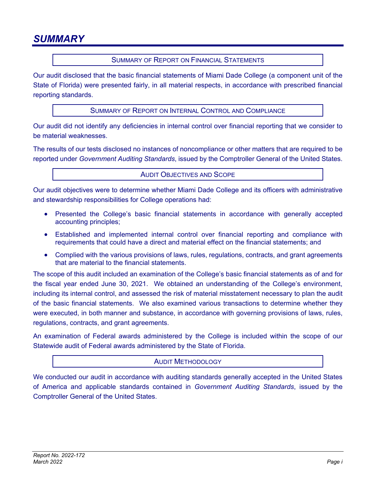#### SUMMARY OF REPORT ON FINANCIAL STATEMENTS

<span id="page-3-0"></span>Our audit disclosed that the basic financial statements of Miami Dade College (a component unit of the State of Florida) were presented fairly, in all material respects, in accordance with prescribed financial reporting standards.

#### SUMMARY OF REPORT ON INTERNAL CONTROL AND COMPLIANCE

Our audit did not identify any deficiencies in internal control over financial reporting that we consider to be material weaknesses.

The results of our tests disclosed no instances of noncompliance or other matters that are required to be reported under *Government Auditing Standards*, issued by the Comptroller General of the United States.

#### AUDIT OBJECTIVES AND SCOPE

Our audit objectives were to determine whether Miami Dade College and its officers with administrative and stewardship responsibilities for College operations had:

- Presented the College's basic financial statements in accordance with generally accepted accounting principles;
- Established and implemented internal control over financial reporting and compliance with requirements that could have a direct and material effect on the financial statements; and
- Complied with the various provisions of laws, rules, regulations, contracts, and grant agreements that are material to the financial statements.

The scope of this audit included an examination of the College's basic financial statements as of and for the fiscal year ended June 30, 2021. We obtained an understanding of the College's environment, including its internal control, and assessed the risk of material misstatement necessary to plan the audit of the basic financial statements. We also examined various transactions to determine whether they were executed, in both manner and substance, in accordance with governing provisions of laws, rules, regulations, contracts, and grant agreements.

An examination of Federal awards administered by the College is included within the scope of our Statewide audit of Federal awards administered by the State of Florida.

#### AUDIT METHODOLOGY

We conducted our audit in accordance with auditing standards generally accepted in the United States of America and applicable standards contained in *Government Auditing Standards*, issued by the Comptroller General of the United States.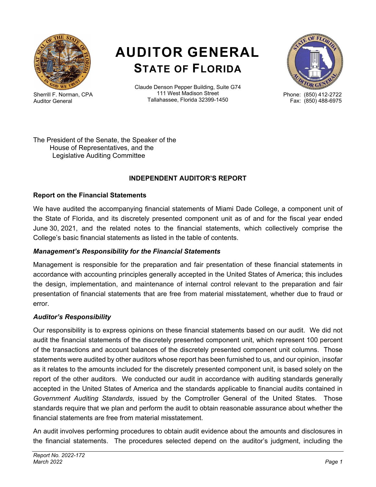<span id="page-4-0"></span>

Sherrill F. Norman, CPA Auditor General

# **AUDITOR GENERAL STATE OF FLORIDA**

Claude Denson Pepper Building, Suite G74 111 West Madison Street Tallahassee, Florida 32399-1450



Phone: (850) 412-2722 Fax: (850) 488-6975

The President of the Senate, the Speaker of the House of Representatives, and the Legislative Auditing Committee

## **INDEPENDENT AUDITOR'S REPORT**

## **Report on the Financial Statements**

We have audited the accompanying financial statements of Miami Dade College, a component unit of the State of Florida, and its discretely presented component unit as of and for the fiscal year ended June 30, 2021, and the related notes to the financial statements, which collectively comprise the College's basic financial statements as listed in the table of contents.

#### *Management's Responsibility for the Financial Statements*

Management is responsible for the preparation and fair presentation of these financial statements in accordance with accounting principles generally accepted in the United States of America; this includes the design, implementation, and maintenance of internal control relevant to the preparation and fair presentation of financial statements that are free from material misstatement, whether due to fraud or error.

## *Auditor's Responsibility*

Our responsibility is to express opinions on these financial statements based on our audit. We did not audit the financial statements of the discretely presented component unit, which represent 100 percent of the transactions and account balances of the discretely presented component unit columns. Those statements were audited by other auditors whose report has been furnished to us, and our opinion, insofar as it relates to the amounts included for the discretely presented component unit, is based solely on the report of the other auditors. We conducted our audit in accordance with auditing standards generally accepted in the United States of America and the standards applicable to financial audits contained in *Government Auditing Standards*, issued by the Comptroller General of the United States. Those standards require that we plan and perform the audit to obtain reasonable assurance about whether the financial statements are free from material misstatement.

An audit involves performing procedures to obtain audit evidence about the amounts and disclosures in the financial statements. The procedures selected depend on the auditor's judgment, including the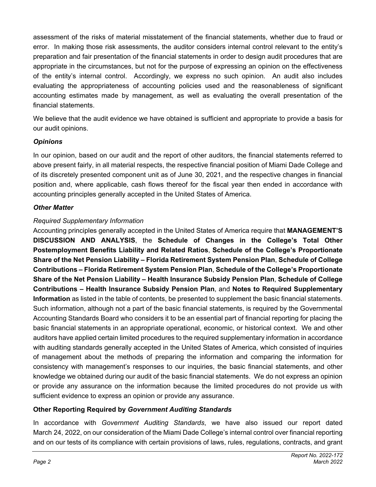<span id="page-5-0"></span>assessment of the risks of material misstatement of the financial statements, whether due to fraud or error. In making those risk assessments, the auditor considers internal control relevant to the entity's preparation and fair presentation of the financial statements in order to design audit procedures that are appropriate in the circumstances, but not for the purpose of expressing an opinion on the effectiveness of the entity's internal control. Accordingly, we express no such opinion. An audit also includes evaluating the appropriateness of accounting policies used and the reasonableness of significant accounting estimates made by management, as well as evaluating the overall presentation of the financial statements.

We believe that the audit evidence we have obtained is sufficient and appropriate to provide a basis for our audit opinions.

## *Opinions*

In our opinion, based on our audit and the report of other auditors, the financial statements referred to above present fairly, in all material respects, the respective financial position of Miami Dade College and of its discretely presented component unit as of June 30, 2021, and the respective changes in financial position and, where applicable, cash flows thereof for the fiscal year then ended in accordance with accounting principles generally accepted in the United States of America.

## *Other Matter*

## *Required Supplementary Information*

Accounting principles generally accepted in the United States of America require that **MANAGEMENT'S DISCUSSION AND ANALYSIS**, the **Schedule of Changes in the College's Total Other Postemployment Benefits Liability and Related Ratios**, **Schedule of the College's Proportionate Share of the Net Pension Liability – Florida Retirement System Pension Plan**, **Schedule of College Contributions – Florida Retirement System Pension Plan**, **Schedule of the College's Proportionate Share of the Net Pension Liability – Health Insurance Subsidy Pension Plan**, **Schedule of College Contributions – Health Insurance Subsidy Pension Plan**, and **Notes to Required Supplementary Information** as listed in the table of contents, be presented to supplement the basic financial statements. Such information, although not a part of the basic financial statements, is required by the Governmental Accounting Standards Board who considers it to be an essential part of financial reporting for placing the basic financial statements in an appropriate operational, economic, or historical context. We and other auditors have applied certain limited procedures to the required supplementary information in accordance with auditing standards generally accepted in the United States of America, which consisted of inquiries of management about the methods of preparing the information and comparing the information for consistency with management's responses to our inquiries, the basic financial statements, and other knowledge we obtained during our audit of the basic financial statements. We do not express an opinion or provide any assurance on the information because the limited procedures do not provide us with sufficient evidence to express an opinion or provide any assurance.

#### **Other Reporting Required by** *Government Auditing Standards*

In accordance with *Government Auditing Standards*, we have also issued our report dated March 24, 2022, on our consideration of the Miami Dade College's internal control over financial reporting and on our tests of its compliance with certain provisions of laws, rules, regulations, contracts, and grant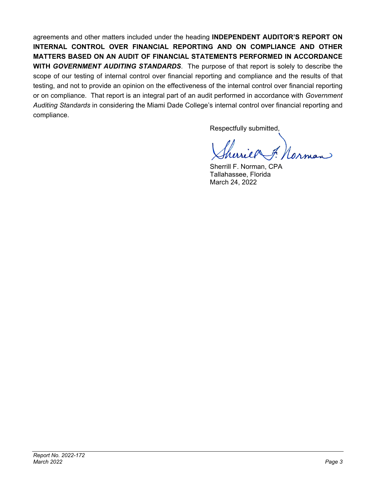agreements and other matters included under the heading **INDEPENDENT AUDITOR'S REPORT ON INTERNAL CONTROL OVER FINANCIAL REPORTING AND ON COMPLIANCE AND OTHER MATTERS BASED ON AN AUDIT OF FINANCIAL STATEMENTS PERFORMED IN ACCORDANCE WITH** *GOVERNMENT AUDITING STANDARDS*. The purpose of that report is solely to describe the scope of our testing of internal control over financial reporting and compliance and the results of that testing, and not to provide an opinion on the effectiveness of the internal control over financial reporting or on compliance. That report is an integral part of an audit performed in accordance with *Government Auditing Standards* in considering the Miami Dade College's internal control over financial reporting and compliance.

Respectfully submitted,

Sherrill F. Norman, CPA Tallahassee, Florida March 24, 2022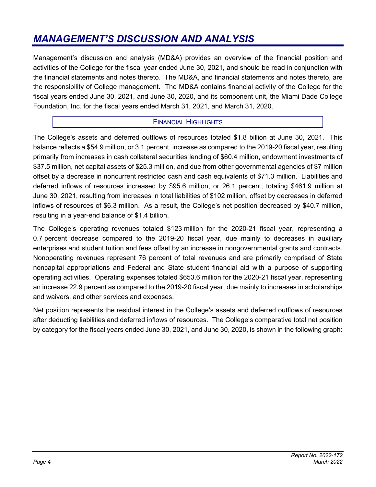## <span id="page-7-0"></span>*MANAGEMENT'S DISCUSSION AND ANALYSIS*

Management's discussion and analysis (MD&A) provides an overview of the financial position and activities of the College for the fiscal year ended June 30, 2021, and should be read in conjunction with the financial statements and notes thereto. The MD&A, and financial statements and notes thereto, are the responsibility of College management. The MD&A contains financial activity of the College for the fiscal years ended June 30, 2021, and June 30, 2020, and its component unit, the Miami Dade College Foundation, Inc. for the fiscal years ended March 31, 2021, and March 31, 2020.

## FINANCIAL HIGHLIGHTS

The College's assets and deferred outflows of resources totaled \$1.8 billion at June 30, 2021. This balance reflects a \$54.9 million, or 3.1 percent, increase as compared to the 2019-20 fiscal year, resulting primarily from increases in cash collateral securities lending of \$60.4 million, endowment investments of \$37.5 million, net capital assets of \$25.3 million, and due from other governmental agencies of \$7 million offset by a decrease in noncurrent restricted cash and cash equivalents of \$71.3 million. Liabilities and deferred inflows of resources increased by \$95.6 million, or 26.1 percent, totaling \$461.9 million at June 30, 2021, resulting from increases in total liabilities of \$102 million, offset by decreases in deferred inflows of resources of \$6.3 million. As a result, the College's net position decreased by \$40.7 million, resulting in a year-end balance of \$1.4 billion.

The College's operating revenues totaled \$123 million for the 2020-21 fiscal year, representing a 0.7 percent decrease compared to the 2019-20 fiscal year, due mainly to decreases in auxiliary enterprises and student tuition and fees offset by an increase in nongovernmental grants and contracts. Nonoperating revenues represent 76 percent of total revenues and are primarily comprised of State noncapital appropriations and Federal and State student financial aid with a purpose of supporting operating activities. Operating expenses totaled \$653.6 million for the 2020-21 fiscal year, representing an increase 22.9 percent as compared to the 2019-20 fiscal year, due mainly to increases in scholarships and waivers, and other services and expenses.

Net position represents the residual interest in the College's assets and deferred outflows of resources after deducting liabilities and deferred inflows of resources. The College's comparative total net position by category for the fiscal years ended June 30, 2021, and June 30, 2020, is shown in the following graph: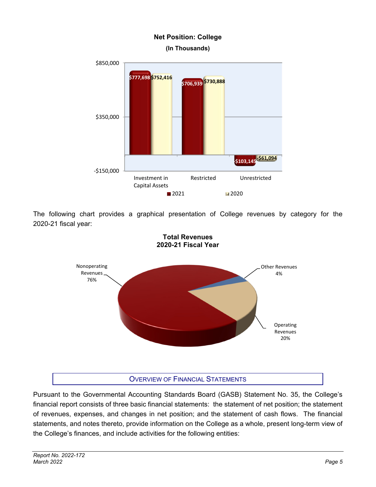## **Net Position: College (In Thousands)**



The following chart provides a graphical presentation of College revenues by category for the 2020-21 fiscal year:



Pursuant to the Governmental Accounting Standards Board (GASB) Statement No. 35, the College's financial report consists of three basic financial statements: the statement of net position; the statement of revenues, expenses, and changes in net position; and the statement of cash flows. The financial statements, and notes thereto, provide information on the College as a whole, present long-term view of the College's finances, and include activities for the following entities: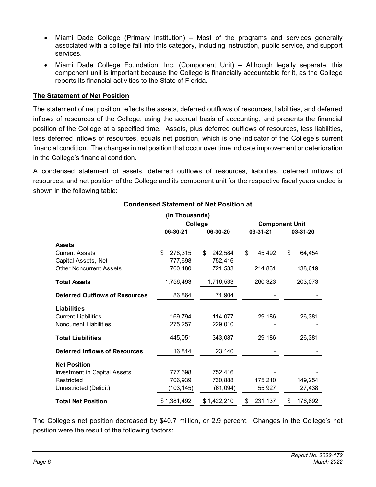- Miami Dade College (Primary Institution) Most of the programs and services generally associated with a college fall into this category, including instruction, public service, and support services.
- Miami Dade College Foundation, Inc. (Component Unit) Although legally separate, this component unit is important because the College is financially accountable for it, as the College reports its financial activities to the State of Florida.

#### **The Statement of Net Position**

The statement of net position reflects the assets, deferred outflows of resources, liabilities, and deferred inflows of resources of the College, using the accrual basis of accounting, and presents the financial position of the College at a specified time. Assets, plus deferred outflows of resources, less liabilities, less deferred inflows of resources, equals net position, which is one indicator of the College's current financial condition. The changes in net position that occur over time indicate improvement or deterioration in the College's financial condition.

A condensed statement of assets, deferred outflows of resources, liabilities, deferred inflows of resources, and net position of the College and its component unit for the respective fiscal years ended is shown in the following table:

|                                       | (In Thousands) |               |              |                       |
|---------------------------------------|----------------|---------------|--------------|-----------------------|
|                                       |                | College       |              | <b>Component Unit</b> |
|                                       | 06-30-21       | 06-30-20      | 03-31-21     | 03-31-20              |
| <b>Assets</b>                         |                |               |              |                       |
| <b>Current Assets</b>                 | \$<br>278,315  | 242,584<br>\$ | \$<br>45,492 | \$<br>64,454          |
| Capital Assets, Net                   | 777,698        | 752,416       |              |                       |
| <b>Other Noncurrent Assets</b>        | 700,480        | 721,533       | 214,831      | 138,619               |
| <b>Total Assets</b>                   | 1,756,493      | 1,716,533     | 260,323      | 203,073               |
| <b>Deferred Outflows of Resources</b> | 86,864         | 71,904        |              |                       |
| <b>Liabilities</b>                    |                |               |              |                       |
| <b>Current Liabilities</b>            | 169,794        | 114,077       | 29,186       | 26,381                |
| <b>Noncurrent Liabilities</b>         | 275,257        | 229,010       |              |                       |
| <b>Total Liabilities</b>              | 445,051        | 343,087       | 29,186       | 26,381                |
| Deferred Inflows of Resources         | 16,814         | 23,140        |              |                       |
| <b>Net Position</b>                   |                |               |              |                       |
| <b>Investment in Capital Assets</b>   | 777,698        | 752,416       |              |                       |
| Restricted                            | 706,939        | 730,888       | 175,210      | 149,254               |
| Unrestricted (Deficit)                | (103, 145)     | (61, 094)     | 55,927       | 27,438                |
| <b>Total Net Position</b>             | \$1,381,492    | \$1,422,210   | 231,137      | 176,692<br>\$         |

## **Condensed Statement of Net Position at**

The College's net position decreased by \$40.7 million, or 2.9 percent. Changes in the College's net position were the result of the following factors: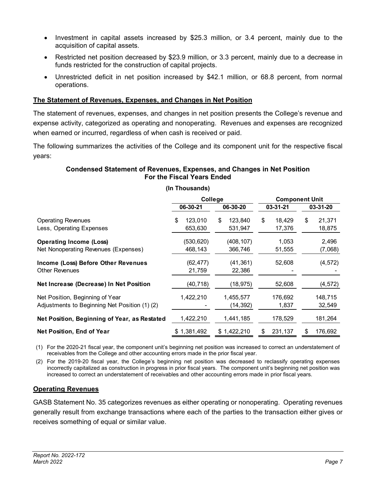- Investment in capital assets increased by \$25.3 million, or 3.4 percent, mainly due to the acquisition of capital assets.
- Restricted net position decreased by \$23.9 million, or 3.3 percent, mainly due to a decrease in funds restricted for the construction of capital projects.
- Unrestricted deficit in net position increased by \$42.1 million, or 68.8 percent, from normal operations.

#### **The Statement of Revenues, Expenses, and Changes in Net Position**

The statement of revenues, expenses, and changes in net position presents the College's revenue and expense activity, categorized as operating and nonoperating. Revenues and expenses are recognized when earned or incurred, regardless of when cash is received or paid.

The following summarizes the activities of the College and its component unit for the respective fiscal years:

#### **Condensed Statement of Revenues, Expenses, and Changes in Net Position For the Fiscal Years Ended**

|                                               | College |             |               |    | <b>Component Unit</b> |    |            |
|-----------------------------------------------|---------|-------------|---------------|----|-----------------------|----|------------|
|                                               |         | 06-30-21    | 06-30-20      |    | $03-31-21$            |    | $03-31-20$ |
| <b>Operating Revenues</b>                     | \$      | 123,010     | \$<br>123,840 | \$ | 18,429                | \$ | 21,371     |
| Less, Operating Expenses                      |         | 653,630     | 531,947       |    | 17,376                |    | 18,875     |
| <b>Operating Income (Loss)</b>                |         | (530, 620)  | (408, 107)    |    | 1,053                 |    | 2,496      |
| Net Nonoperating Revenues (Expenses)          |         | 468,143     | 366,746       |    | 51,555                |    | (7,068)    |
| Income (Loss) Before Other Revenues           |         | (62, 477)   | (41, 361)     |    | 52,608                |    | (4, 572)   |
| <b>Other Revenues</b>                         |         | 21,759      | 22,386        |    |                       |    |            |
| Net Increase (Decrease) In Net Position       |         | (40,718)    | (18, 975)     |    | 52,608                |    | (4, 572)   |
| Net Position, Beginning of Year               |         | 1,422,210   | 1,455,577     |    | 176,692               |    | 148,715    |
| Adjustments to Beginning Net Position (1) (2) |         |             | (14, 392)     |    | 1,837                 |    | 32,549     |
| Net Position, Beginning of Year, as Restated  |         | 1,422,210   | 1,441,185     |    | 178,529               |    | 181,264    |
| Net Position, End of Year                     |         | \$1,381,492 | \$1,422,210   | S  | 231,137               | \$ | 176.692    |

**(In Thousands)** 

(1) For the 2020-21 fiscal year, the component unit's beginning net position was increased to correct an understatement of receivables from the College and other accounting errors made in the prior fiscal year.

(2) For the 2019-20 fiscal year, the College's beginning net position was decreased to reclassify operating expenses incorrectly capitalized as construction in progress in prior fiscal years. The component unit's beginning net position was increased to correct an understatement of receivables and other accounting errors made in prior fiscal years.

#### **Operating Revenues**

GASB Statement No. 35 categorizes revenues as either operating or nonoperating. Operating revenues generally result from exchange transactions where each of the parties to the transaction either gives or receives something of equal or similar value.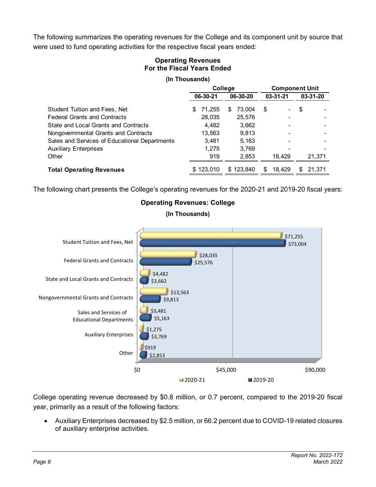The following summarizes the operating revenues for the College and its component unit by source that were used to fund operating activities for the respective fiscal years ended:

## **Operating Revenues For the Fiscal Years Ended**

#### **(In Thousands)**

|                                               | College |           |   | <b>Component Unit</b> |     |          |    |            |
|-----------------------------------------------|---------|-----------|---|-----------------------|-----|----------|----|------------|
|                                               |         | 06-30-21  |   | 06-30-20              |     | 03-31-21 |    | $03-31-20$ |
| <b>Student Tuition and Fees, Net</b>          | S       | 71.255    | S | 73.004                | S   |          | \$ |            |
| <b>Federal Grants and Contracts</b>           |         | 28.035    |   | 25.576                |     | ۰        |    | -          |
| State and Local Grants and Contracts          |         | 4,482     |   | 3,662                 |     |          |    |            |
| Nongovernmental Grants and Contracts          |         | 13.563    |   | 9.813                 |     |          |    | -          |
| Sales and Services of Educational Departments |         | 3.481     |   | 5,163                 |     |          |    |            |
| <b>Auxiliary Enterprises</b>                  |         | 1.275     |   | 3,769                 |     |          |    |            |
| Other                                         |         | 919       |   | 2,853                 |     | 18.429   |    | 21,371     |
| <b>Total Operating Revenues</b>               |         | \$123.010 |   | \$123,840             | \$. | 18.429   |    | 21.371     |

The following chart presents the College's operating revenues for the 2020-21 and 2019-20 fiscal years:



**Operating Revenues: College** 

**(In Thousands)** 

College operating revenue decreased by \$0.8 million, or 0.7 percent, compared to the 2019-20 fiscal year, primarily as a result of the following factors:

 Auxiliary Enterprises decreased by \$2.5 million, or 66.2 percent due to COVID-19 related closures of auxiliary enterprise activities.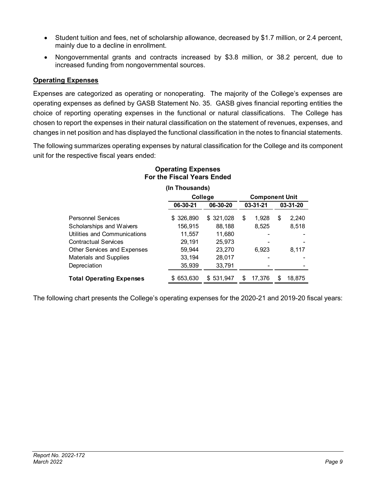- Student tuition and fees, net of scholarship allowance, decreased by \$1.7 million, or 2.4 percent, mainly due to a decline in enrollment.
- Nongovernmental grants and contracts increased by \$3.8 million, or 38.2 percent, due to increased funding from nongovernmental sources.

#### **Operating Expenses**

Expenses are categorized as operating or nonoperating. The majority of the College's expenses are operating expenses as defined by GASB Statement No. 35. GASB gives financial reporting entities the choice of reporting operating expenses in the functional or natural classifications. The College has chosen to report the expenses in their natural classification on the statement of revenues, expenses, and changes in net position and has displayed the functional classification in the notes to financial statements.

The following summarizes operating expenses by natural classification for the College and its component unit for the respective fiscal years ended:

| (In Thousands)                     |           |           |   |                       |    |          |
|------------------------------------|-----------|-----------|---|-----------------------|----|----------|
|                                    |           | College   |   | <b>Component Unit</b> |    |          |
|                                    | 06-30-21  | 06-30-20  |   | 03-31-21              |    | 03-31-20 |
| <b>Personnel Services</b>          | \$326,890 | \$321,028 | S | 1.928                 | \$ | 2,240    |
| Scholarships and Waivers           | 156,915   | 88,188    |   | 8,525                 |    | 8,518    |
| Utilities and Communications       | 11,557    | 11,680    |   |                       |    |          |
| <b>Contractual Services</b>        | 29,191    | 25,973    |   |                       |    |          |
| <b>Other Services and Expenses</b> | 59.944    | 23,270    |   | 6.923                 |    | 8.117    |
| <b>Materials and Supplies</b>      | 33,194    | 28,017    |   |                       |    |          |
| Depreciation                       | 35,939    | 33,791    |   |                       |    |          |
| <b>Total Operating Expenses</b>    | \$653,630 | \$531.947 | S | 17.376                | S  | 18.875   |

## **Operating Expenses For the Fiscal Years Ended**

The following chart presents the College's operating expenses for the 2020-21 and 2019-20 fiscal years: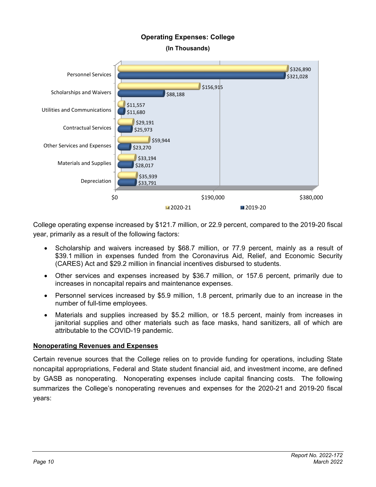#### **Operating Expenses: College**

**(In Thousands)** 



College operating expense increased by \$121.7 million, or 22.9 percent, compared to the 2019-20 fiscal year, primarily as a result of the following factors:

- Scholarship and waivers increased by \$68.7 million, or 77.9 percent, mainly as a result of \$39.1 million in expenses funded from the Coronavirus Aid, Relief, and Economic Security (CARES) Act and \$29.2 million in financial incentives disbursed to students.
- Other services and expenses increased by \$36.7 million, or 157.6 percent, primarily due to increases in noncapital repairs and maintenance expenses.
- Personnel services increased by \$5.9 million, 1.8 percent, primarily due to an increase in the number of full-time employees.
- Materials and supplies increased by \$5.2 million, or 18.5 percent, mainly from increases in janitorial supplies and other materials such as face masks, hand sanitizers, all of which are attributable to the COVID-19 pandemic.

#### **Nonoperating Revenues and Expenses**

Certain revenue sources that the College relies on to provide funding for operations, including State noncapital appropriations, Federal and State student financial aid, and investment income, are defined by GASB as nonoperating. Nonoperating expenses include capital financing costs. The following summarizes the College's nonoperating revenues and expenses for the 2020-21 and 2019-20 fiscal years: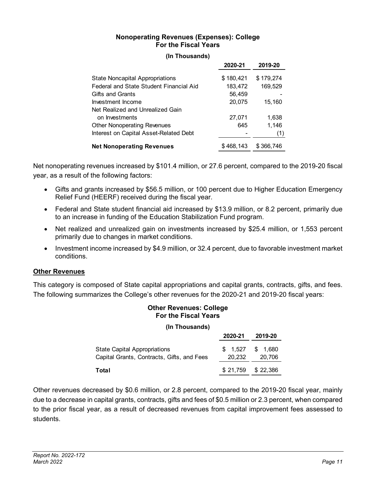#### **Nonoperating Revenues (Expenses): College For the Fiscal Years**

|                                         | 2020-21   | 2019-20   |
|-----------------------------------------|-----------|-----------|
| <b>State Noncapital Appropriations</b>  | \$180,421 | \$179,274 |
| Federal and State Student Financial Aid | 183,472   | 169,529   |
| Gifts and Grants                        | 56,459    |           |
| Investment Income                       | 20,075    | 15,160    |
| Net Realized and Unrealized Gain        |           |           |
| on Investments                          | 27,071    | 1,638     |
| <b>Other Nonoperating Revenues</b>      | 645       | 1,146     |
| Interest on Capital Asset-Related Debt  |           | (1)       |
| Net Nonoperating Revenues               | \$468,143 | \$366,746 |

#### **(In Thousands)**

Net nonoperating revenues increased by \$101.4 million, or 27.6 percent, compared to the 2019-20 fiscal year, as a result of the following factors:

- Gifts and grants increased by \$56.5 million, or 100 percent due to Higher Education Emergency Relief Fund (HEERF) received during the fiscal year.
- Federal and State student financial aid increased by \$13.9 million, or 8.2 percent, primarily due to an increase in funding of the Education Stabilization Fund program.
- Net realized and unrealized gain on investments increased by \$25.4 million, or 1,553 percent primarily due to changes in market conditions.
- Investment income increased by \$4.9 million, or 32.4 percent, due to favorable investment market conditions.

#### **Other Revenues**

This category is composed of State capital appropriations and capital grants, contracts, gifts, and fees. The following summarizes the College's other revenues for the 2020-21 and 2019-20 fiscal years:

## **Other Revenues: College For the Fiscal Years**

**(In Thousands)** 

|                                                                                   | 2020-21                     | 2019-20 |
|-----------------------------------------------------------------------------------|-----------------------------|---------|
| <b>State Capital Appropriations</b><br>Capital Grants, Contracts, Gifts, and Fees | \$ 1.527 \$ 1.680<br>20.232 | 20.706  |
| Total                                                                             | $$21,759$ $$22,386$         |         |

Other revenues decreased by \$0.6 million, or 2.8 percent, compared to the 2019-20 fiscal year, mainly due to a decrease in capital grants, contracts, gifts and fees of \$0.5 million or 2.3 percent, when compared to the prior fiscal year, as a result of decreased revenues from capital improvement fees assessed to students.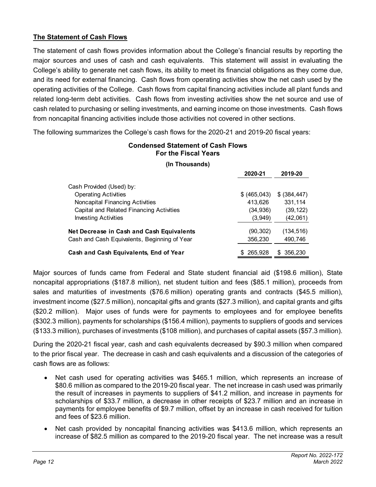## **The Statement of Cash Flows**

The statement of cash flows provides information about the College's financial results by reporting the major sources and uses of cash and cash equivalents. This statement will assist in evaluating the College's ability to generate net cash flows, its ability to meet its financial obligations as they come due, and its need for external financing. Cash flows from operating activities show the net cash used by the operating activities of the College. Cash flows from capital financing activities include all plant funds and related long-term debt activities. Cash flows from investing activities show the net source and use of cash related to purchasing or selling investments, and earning income on those investments. Cash flows from noncapital financing activities include those activities not covered in other sections.

The following summarizes the College's cash flows for the 2020-21 and 2019-20 fiscal years:

|                                              | 2020-21      | 2019-20       |
|----------------------------------------------|--------------|---------------|
| Cash Provided (Used) by:                     |              |               |
| <b>Operating Activities</b>                  | \$ (465,043) | \$ (384, 447) |
| <b>Noncapital Financing Activities</b>       | 413.626      | 331,114       |
| Capital and Related Financing Activities     | (34, 936)    | (39, 122)     |
| <b>Investing Activities</b>                  | (3,949)      | (42,061)      |
| Net Decrease in Cash and Cash Equivalents    | (90, 302)    | (134, 516)    |
| Cash and Cash Equivalents, Beginning of Year | 356,230      | 490,746       |
| Cash and Cash Equivalents, End of Year       | \$265.928    | \$ 356.230    |

#### **Condensed Statement of Cash Flows For the Fiscal Years**

**(In Thousands)** 

Major sources of funds came from Federal and State student financial aid (\$198.6 million), State noncapital appropriations (\$187.8 million), net student tuition and fees (\$85.1 million), proceeds from sales and maturities of investments (\$76.6 million) operating grants and contracts (\$45.5 million), investment income (\$27.5 million), noncapital gifts and grants (\$27.3 million), and capital grants and gifts (\$20.2 million). Major uses of funds were for payments to employees and for employee benefits (\$302.3 million), payments for scholarships (\$156.4 million), payments to suppliers of goods and services (\$133.3 million), purchases of investments (\$108 million), and purchases of capital assets (\$57.3 million).

During the 2020-21 fiscal year, cash and cash equivalents decreased by \$90.3 million when compared to the prior fiscal year. The decrease in cash and cash equivalents and a discussion of the categories of cash flows are as follows:

- Net cash used for operating activities was \$465.1 million, which represents an increase of \$80.6 million as compared to the 2019-20 fiscal year. The net increase in cash used was primarily the result of increases in payments to suppliers of \$41.2 million, and increase in payments for scholarships of \$33.7 million, a decrease in other receipts of \$23.7 million and an increase in payments for employee benefits of \$9.7 million, offset by an increase in cash received for tuition and fees of \$23.6 million.
- Net cash provided by noncapital financing activities was \$413.6 million, which represents an increase of \$82.5 million as compared to the 2019-20 fiscal year. The net increase was a result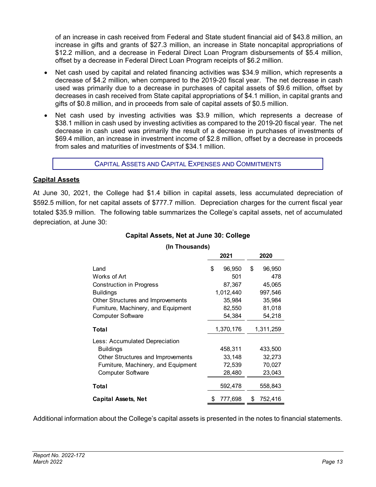of an increase in cash received from Federal and State student financial aid of \$43.8 million, an increase in gifts and grants of \$27.3 million, an increase in State noncapital appropriations of \$12.2 million, and a decrease in Federal Direct Loan Program disbursements of \$5.4 million, offset by a decrease in Federal Direct Loan Program receipts of \$6.2 million.

- Net cash used by capital and related financing activities was \$34.9 million, which represents a decrease of \$4.2 million, when compared to the 2019-20 fiscal year. The net decrease in cash used was primarily due to a decrease in purchases of capital assets of \$9.6 million, offset by decreases in cash received from State capital appropriations of \$4.1 million, in capital grants and gifts of \$0.8 million, and in proceeds from sale of capital assets of \$0.5 million.
- Net cash used by investing activities was \$3.9 million, which represents a decrease of \$38.1 million in cash used by investing activities as compared to the 2019-20 fiscal year. The net decrease in cash used was primarily the result of a decrease in purchases of investments of \$69.4 million, an increase in investment income of \$2.8 million, offset by a decrease in proceeds from sales and maturities of investments of \$34.1 million.

CAPITAL ASSETS AND CAPITAL EXPENSES AND COMMITMENTS

## **Capital Assets**

At June 30, 2021, the College had \$1.4 billion in capital assets, less accumulated depreciation of \$592.5 million, for net capital assets of \$777.7 million. Depreciation charges for the current fiscal year totaled \$35.9 million. The following table summarizes the College's capital assets, net of accumulated depreciation, at June 30:

|                                     |    | 2021      | 2020          |
|-------------------------------------|----|-----------|---------------|
| Land                                | \$ | 96,950    | \$<br>96,950  |
| Works of Art                        |    | 501       | 478           |
| <b>Construction in Progress</b>     |    | 87,367    | 45,065        |
| <b>Buildings</b>                    |    | 1,012,440 | 997,546       |
| Other Structures and Improvements   |    | 35,984    | 35,984        |
| Furniture, Machinery, and Equipment |    | 82,550    | 81,018        |
| <b>Computer Software</b>            |    | 54,384    | 54,218        |
| Total                               |    | 1,370,176 | 1,311,259     |
| Less: Accumulated Depreciation      |    |           |               |
| <b>Buildings</b>                    |    | 458,311   | 433,500       |
| Other Structures and Improvements   |    | 33,148    | 32,273        |
| Furniture, Machinery, and Equipment |    | 72,539    | 70,027        |
| <b>Computer Software</b>            |    | 28,480    | 23,043        |
| Total                               |    | 592,478   | 558,843       |
| <b>Capital Assets, Net</b>          | S  | 777,698   | \$<br>752,416 |

## **Capital Assets, Net at June 30: College (In Thousands)**

Additional information about the College's capital assets is presented in the notes to financial statements.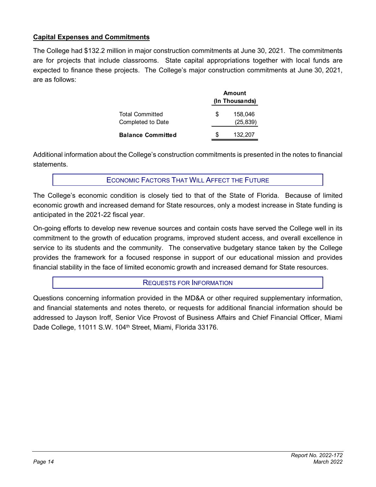## **Capital Expenses and Commitments**

The College had \$132.2 million in major construction commitments at June 30, 2021. The commitments are for projects that include classrooms. State capital appropriations together with local funds are expected to finance these projects. The College's major construction commitments at June 30, 2021, are as follows:

|                                             | Amount<br>(In Thousands) |                      |  |
|---------------------------------------------|--------------------------|----------------------|--|
| <b>Total Committed</b><br>Completed to Date | S                        | 158.046<br>(25, 839) |  |
| <b>Balance Committed</b>                    | S                        | 132,207              |  |

Additional information about the College's construction commitments is presented in the notes to financial statements.

#### ECONOMIC FACTORS THAT WILL AFFECT THE FUTURE

The College's economic condition is closely tied to that of the State of Florida. Because of limited economic growth and increased demand for State resources, only a modest increase in State funding is anticipated in the 2021-22 fiscal year.

On-going efforts to develop new revenue sources and contain costs have served the College well in its commitment to the growth of education programs, improved student access, and overall excellence in service to its students and the community. The conservative budgetary stance taken by the College provides the framework for a focused response in support of our educational mission and provides financial stability in the face of limited economic growth and increased demand for State resources.

#### REQUESTS FOR INFORMATION

Questions concerning information provided in the MD&A or other required supplementary information, and financial statements and notes thereto, or requests for additional financial information should be addressed to Jayson Iroff, Senior Vice Provost of Business Affairs and Chief Financial Officer, Miami Dade College, 11011 S.W. 104<sup>th</sup> Street, Miami, Florida 33176.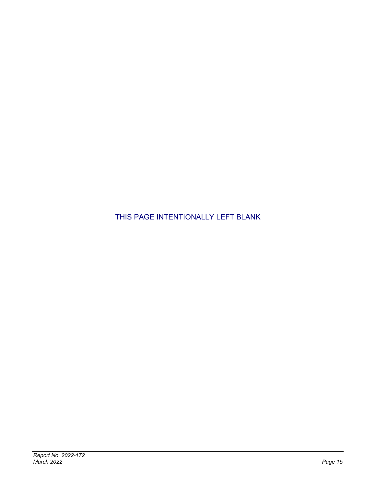THIS PAGE INTENTIONALLY LEFT BLANK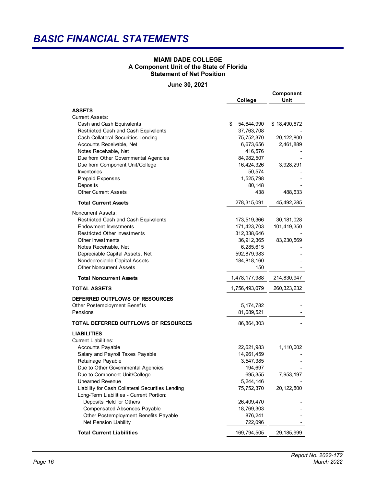## <span id="page-19-0"></span>*BASIC FINANCIAL STATEMENTS*

#### **MIAMI DADE COLLEGE A Component Unit of the State of Florida Statement of Net Position**

#### **June 30, 2021**

|                                                   |                  | Component    |
|---------------------------------------------------|------------------|--------------|
|                                                   | College          | Unit         |
| <b>ASSETS</b>                                     |                  |              |
| <b>Current Assets:</b>                            |                  |              |
| Cash and Cash Equivalents                         | \$<br>54,644,990 | \$18,490,672 |
| Restricted Cash and Cash Equivalents              | 37,763,708       |              |
| Cash Collateral Securities Lending                | 75,752,370       | 20, 122, 800 |
| Accounts Receivable, Net                          | 6,673,656        | 2,461,889    |
| Notes Receivable, Net                             | 416,576          |              |
| Due from Other Governmental Agencies              | 84,982,507       |              |
| Due from Component Unit/College                   | 16,424,326       | 3,928,291    |
| Inventories                                       | 50,574           |              |
| <b>Prepaid Expenses</b>                           | 1,525,798        |              |
| Deposits                                          | 80,148           |              |
| <b>Other Current Assets</b>                       | 438              | 488,633      |
| <b>Total Current Assets</b>                       | 278,315,091      | 45,492,285   |
| <b>Noncurrent Assets:</b>                         |                  |              |
| Restricted Cash and Cash Equivalents              | 173,519,366      | 30,181,028   |
| <b>Endowment Investments</b>                      | 171,423,703      | 101,419,350  |
| <b>Restricted Other Investments</b>               | 312,338,646      |              |
| Other Investments                                 | 36,912,365       | 83,230,569   |
| Notes Receivable, Net                             | 6,285,615        |              |
| Depreciable Capital Assets, Net                   | 592,879,983      |              |
| Nondepreciable Capital Assets                     | 184,818,160      |              |
| <b>Other Noncurrent Assets</b>                    | 150              |              |
| <b>Total Noncurrent Assets</b>                    | 1,478,177,988    | 214,830,947  |
| TOTAL ASSETS                                      | 1,756,493,079    | 260,323,232  |
| DEFERRED OUTFLOWS OF RESOURCES                    |                  |              |
| <b>Other Postemployment Benefits</b>              | 5, 174, 782      |              |
| Pensions                                          | 81,689,521       |              |
| TOTAL DEFERRED OUTFLOWS OF RESOURCES              | 86,864,303       |              |
|                                                   |                  |              |
| <b>LIABILITIES</b><br><b>Current Liabilities:</b> |                  |              |
| <b>Accounts Payable</b>                           | 22,621,983       | 1,110,002    |
| Salary and Payroll Taxes Payable                  | 14,961,459       |              |
| Retainage Payable                                 | 3,547,385        |              |
| Due to Other Governmental Agencies                | 194,697          |              |
| Due to Component Unit/College                     | 695,355          | 7,953,197    |
| <b>Unearned Revenue</b>                           | 5,244,146        |              |
| Liability for Cash Collateral Securities Lending  | 75,752,370       | 20,122,800   |
| Long-Term Liabilities - Current Portion:          |                  |              |
| Deposits Held for Others                          | 26,409,470       |              |
| <b>Compensated Absences Payable</b>               | 18,769,303       |              |
| Other Postemployment Benefits Payable             | 876,241          |              |
| Net Pension Liability                             | 722,096          |              |
| <b>Total Current Liabilities</b>                  | 169,794,505      | 29, 185, 999 |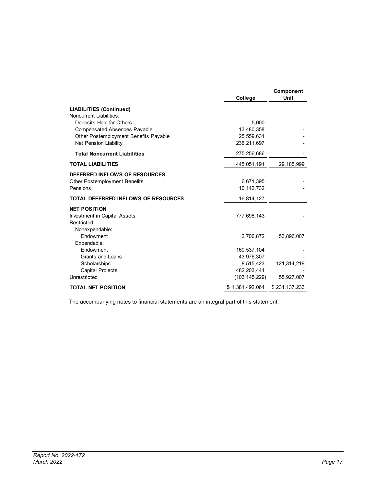|                                                           | College         | Component<br>Unit |
|-----------------------------------------------------------|-----------------|-------------------|
| <b>LIABILITIES (Continued)</b><br>Noncurrent Liabilities: |                 |                   |
| Deposits Held for Others                                  | 5,000           |                   |
| <b>Compensated Absences Payable</b>                       | 13,480,358      |                   |
| Other Postemployment Benefits Payable                     | 25,559,631      |                   |
| <b>Net Pension Liability</b>                              | 236,211,697     |                   |
| <b>Total Noncurrent Liabilities</b>                       | 275,256,686     |                   |
| <b>TOTAL LIABILITIES</b>                                  | 445,051,191     | 29, 185, 999      |
| DEFERRED INFLOWS OF RESOURCES                             |                 |                   |
| <b>Other Postemployment Benefits</b>                      | 6,671,395       |                   |
| Pensions                                                  | 10, 142, 732    |                   |
| <b>TOTAL DEFERRED INFLOWS OF RESOURCES</b>                | 16,814,127      |                   |
| <b>NET POSITION</b>                                       |                 |                   |
| <b>Investment in Capital Assets</b>                       | 777,698,143     |                   |
| Restricted:                                               |                 |                   |
| Nonexpendable:                                            |                 |                   |
| Endowment                                                 | 2,706,872       | 53,896,007        |
| Expendable:<br>Endowment                                  | 169,537,104     |                   |
| Grants and Loans                                          | 43,976,307      |                   |
| Scholarships                                              | 8,515,423       | 121,314,219       |
| Capital Projects                                          | 482,203,444     |                   |
| Unrestricted                                              | (103, 145, 229) | 55,927,007        |
| <b>TOTAL NET POSITION</b>                                 | \$1,381,492,064 | \$231,137,233     |

The accompanying notes to financial statements are an integral part of this statement.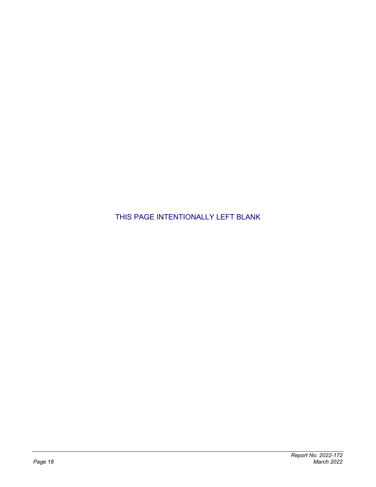THIS PAGE INTENTIONALLY LEFT BLANK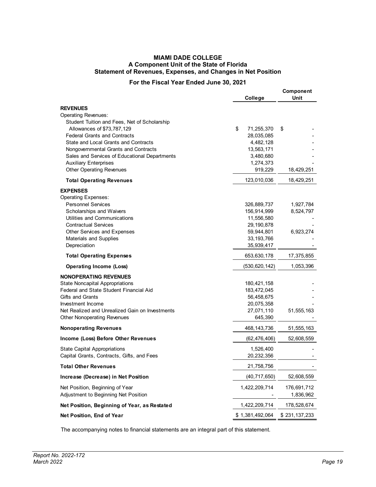#### **MIAMI DADE COLLEGE A Component Unit of the State of Florida Statement of Revenues, Expenses, and Changes in Net Position**

#### **For the Fiscal Year Ended June 30, 2021**

<span id="page-22-0"></span>

|                                                 |                  | Component     |
|-------------------------------------------------|------------------|---------------|
|                                                 | College          | Unit          |
| <b>REVENUES</b>                                 |                  |               |
| <b>Operating Revenues:</b>                      |                  |               |
| Student Tuition and Fees, Net of Scholarship    |                  |               |
| Allowances of \$73,787,129                      | \$<br>71,255,370 | \$            |
| <b>Federal Grants and Contracts</b>             | 28,035,085       |               |
| State and Local Grants and Contracts            | 4,482,128        |               |
| Nongovernmental Grants and Contracts            | 13,563,171       |               |
| Sales and Services of Educational Departments   | 3,480,680        |               |
| <b>Auxiliary Enterprises</b>                    | 1,274,373        |               |
| <b>Other Operating Revenues</b>                 | 919,229          | 18,429,251    |
| <b>Total Operating Revenues</b>                 | 123,010,036      | 18,429,251    |
| <b>EXPENSES</b>                                 |                  |               |
| <b>Operating Expenses:</b>                      |                  |               |
| <b>Personnel Services</b>                       | 326,889,737      | 1,927,784     |
| Scholarships and Waivers                        | 156,914,999      | 8,524,797     |
| Utilities and Communications                    | 11,556,580       |               |
| <b>Contractual Services</b>                     | 29, 190, 878     |               |
| <b>Other Services and Expenses</b>              | 59,944,801       | 6,923,274     |
| <b>Materials and Supplies</b>                   | 33, 193, 766     |               |
| Depreciation                                    | 35,939,417       |               |
| <b>Total Operating Expenses</b>                 | 653,630,178      | 17,375,855    |
| <b>Operating Income (Loss)</b>                  | (530, 620, 142)  | 1,053,396     |
| <b>NONOPERATING REVENUES</b>                    |                  |               |
| <b>State Noncapital Appropriations</b>          | 180,421,158      |               |
| Federal and State Student Financial Aid         | 183,472,045      |               |
| Gifts and Grants                                | 56,458,675       |               |
| Investment Income                               | 20,075,358       |               |
| Net Realized and Unrealized Gain on Investments | 27,071,110       |               |
|                                                 | 645,390          | 51,555,163    |
| <b>Other Nonoperating Revenues</b>              |                  |               |
| <b>Nonoperating Revenues</b>                    | 468, 143, 736    | 51,555,163    |
| Income (Loss) Before Other Revenues             | (62, 476, 406)   | 52,608,559    |
| <b>State Capital Appropriations</b>             | 1,526,400        |               |
| Capital Grants, Contracts, Gifts, and Fees      | 20,232,356       |               |
| <b>Total Other Revenues</b>                     | 21,758,756       |               |
| Increase (Decrease) in Net Position             | (40, 717, 650)   | 52,608,559    |
| Net Position, Beginning of Year                 | 1,422,209,714    | 176,691,712   |
| Adjustment to Beginning Net Position            |                  | 1,836,962     |
|                                                 |                  |               |
| Net Position, Beginning of Year, as Restated    | 1,422,209,714    | 178,528,674   |
| Net Position, End of Year                       | \$1,381,492,064  | \$231,137,233 |

The accompanying notes to financial statements are an integral part of this statement.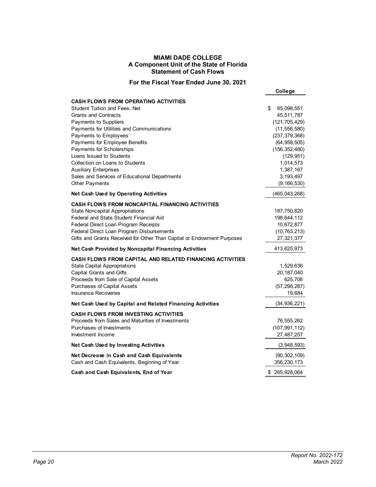#### **MIAMI DADE COLLEGE A Component Unit of the State of Florida Statement of Cash Flows**

#### **For the Fiscal Year Ended June 30, 2021**

<span id="page-23-0"></span>

|                                                                        | College          |
|------------------------------------------------------------------------|------------------|
| <b>CASH FLOWS FROM OPERATING ACTIVITIES</b>                            |                  |
| <b>Student Tuition and Fees, Net</b>                                   | \$<br>85,098,551 |
| <b>Grants and Contracts</b>                                            | 45,511,787       |
| <b>Payments to Suppliers</b>                                           | (121, 705, 429)  |
| Payments for Utilities and Communications                              | (11, 556, 580)   |
| Payments to Employees                                                  | (237, 379, 368)  |
| Payments for Employee Benefits                                         | (64, 958, 505)   |
| Payments for Scholarships                                              | (156, 352, 480)  |
| Loans Issued to Students                                               | (129, 951)       |
| Collection on Loans to Students                                        | 1,014,573        |
| <b>Auxiliary Enterprises</b>                                           | 1,387,167        |
| Sales and Services of Educational Departments                          | 3, 193, 497      |
| <b>Other Payments</b>                                                  | (9, 166, 530)    |
| <b>Net Cash Used by Operating Activities</b>                           | (465, 043, 268)  |
| <b>CASH FLOWS FROM NONCAPITAL FINANCING ACTIVITIES</b>                 |                  |
| <b>State Noncapital Appropriations</b>                                 | 187,750,820      |
| Federal and State Student Financial Aid                                | 198,644,112      |
| Federal Direct Loan Program Receipts                                   | 10,672,877       |
| Federal Direct Loan Program Disbursements                              | (10, 763, 213)   |
| Gifts and Grants Received for Other Than Capital or Endowment Purposes | 27,321,377       |
| Net Cash Provided by Noncapital Financing Activities                   | 413,625,973      |
| <b>CASH FLOWS FROM CAPITAL AND RELATED FINANCING ACTIVITIES</b>        |                  |
| <b>State Capital Appropriations</b>                                    | 1,529,636        |
| <b>Capital Grants and Gifts</b>                                        | 20, 187, 040     |
| Proceeds from Sale of Capital Assets                                   | 625,706          |
| Purchases of Capital Assets                                            | (57, 298, 287)   |
| <b>Insurance Recoveries</b>                                            | 19,684           |
| Net Cash Used by Capital and Related Financing Activities              | (34, 936, 221)   |
| <b>CASH FLOWS FROM INVESTING ACTIVITIES</b>                            |                  |
| Proceeds from Sales and Maturities of Investments                      | 76,555,262       |
| Purchases of Investments                                               | (107, 991, 112)  |
| Investment Income                                                      | 27,487,257       |
| Net Cash Used by Investing Activities                                  | (3,948,593)      |
| Net Decrease in Cash and Cash Equivalents                              | (90, 302, 109)   |
| Cash and Cash Equivalents, Beginning of Year                           | 356,230,173      |
|                                                                        |                  |
| Cash and Cash Equivalents, End of Year                                 | \$265,928,064    |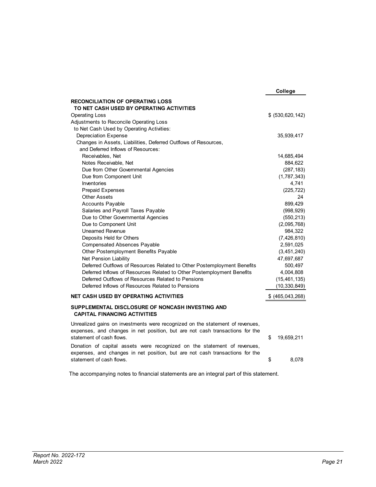|                                                                                                                                                                                           | College            |
|-------------------------------------------------------------------------------------------------------------------------------------------------------------------------------------------|--------------------|
| <b>RECONCILIATION OF OPERATING LOSS</b>                                                                                                                                                   |                    |
| TO NET CASH USED BY OPERATING ACTIVITIES                                                                                                                                                  |                    |
| <b>Operating Loss</b>                                                                                                                                                                     | \$ (530, 620, 142) |
| Adjustments to Reconcile Operating Loss                                                                                                                                                   |                    |
| to Net Cash Used by Operating Activities:                                                                                                                                                 |                    |
| <b>Depreciation Expense</b>                                                                                                                                                               | 35,939,417         |
| Changes in Assets, Liabilities, Deferred Outflows of Resources,                                                                                                                           |                    |
| and Deferred Inflows of Resources:                                                                                                                                                        |                    |
| Receivables, Net                                                                                                                                                                          | 14,685,494         |
| Notes Receivable, Net                                                                                                                                                                     | 884,622            |
| Due from Other Governmental Agencies                                                                                                                                                      | (287, 183)         |
| Due from Component Unit                                                                                                                                                                   | (1,787,343)        |
| Inventories                                                                                                                                                                               | 4,741              |
| <b>Prepaid Expenses</b>                                                                                                                                                                   | (225, 722)         |
| <b>Other Assets</b>                                                                                                                                                                       | 24                 |
| <b>Accounts Payable</b>                                                                                                                                                                   | 899,429            |
| Salaries and Payroll Taxes Payable                                                                                                                                                        | (998, 929)         |
| Due to Other Governmental Agencies                                                                                                                                                        | (550, 213)         |
| Due to Component Unit                                                                                                                                                                     | (2,095,768)        |
| <b>Unearned Revenue</b>                                                                                                                                                                   | 984,322            |
| Deposits Held for Others                                                                                                                                                                  | (7, 426, 810)      |
| <b>Compensated Absences Payable</b>                                                                                                                                                       | 2,591,025          |
| Other Postemployment Benefits Payable                                                                                                                                                     | (3,451,240)        |
| Net Pension Liability                                                                                                                                                                     | 47,697,687         |
| Deferred Outflows of Resources Related to Other Postemployment Benefits                                                                                                                   | 500,497            |
| Deferred Inflows of Resources Related to Other Postemployment Benefits                                                                                                                    | 4,004,808          |
| Deferred Outflows of Resources Related to Pensions                                                                                                                                        | (15, 461, 135)     |
| Deferred Inflows of Resources Related to Pensions                                                                                                                                         | (10, 330, 849)     |
| NET CASH USED BY OPERATING ACTIVITIES                                                                                                                                                     | \$ (465,043,268)   |
| SUPPLEMENTAL DISCLOSURE OF NONCASH INVESTING AND<br><b>CAPITAL FINANCING ACTIVITIES</b>                                                                                                   |                    |
| Unrealized gains on investments were recognized on the statement of revenues,<br>expenses, and changes in net position, but are not cash transactions for the<br>statement of cash flows. | \$<br>19,659,211   |
| Donation of capital assets were recognized on the statement of revenues,<br>expenses, and changes in net position, but are not cash transactions for the<br>statement of cash flows.      | \$<br>8,078        |
|                                                                                                                                                                                           |                    |

The accompanying notes to financial statements are an integral part of this statement.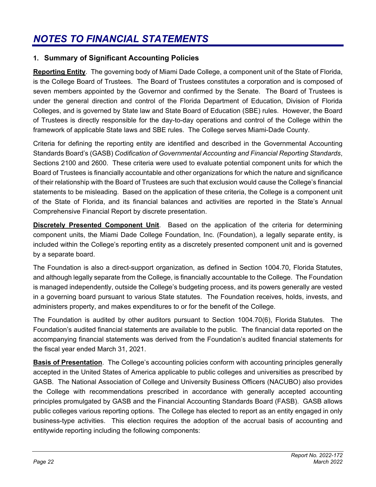## <span id="page-25-0"></span>*NOTES TO FINANCIAL STATEMENTS*

### **1. Summary of Significant Accounting Policies**

**Reporting Entity**. The governing body of Miami Dade College, a component unit of the State of Florida, is the College Board of Trustees. The Board of Trustees constitutes a corporation and is composed of seven members appointed by the Governor and confirmed by the Senate. The Board of Trustees is under the general direction and control of the Florida Department of Education, Division of Florida Colleges, and is governed by State law and State Board of Education (SBE) rules. However, the Board of Trustees is directly responsible for the day-to-day operations and control of the College within the framework of applicable State laws and SBE rules. The College serves Miami-Dade County.

Criteria for defining the reporting entity are identified and described in the Governmental Accounting Standards Board's (GASB) *Codification of Governmental Accounting and Financial Reporting Standards*, Sections 2100 and 2600. These criteria were used to evaluate potential component units for which the Board of Trustees is financially accountable and other organizations for which the nature and significance of their relationship with the Board of Trustees are such that exclusion would cause the College's financial statements to be misleading. Based on the application of these criteria, the College is a component unit of the State of Florida, and its financial balances and activities are reported in the State's Annual Comprehensive Financial Report by discrete presentation.

**Discretely Presented Component Unit**. Based on the application of the criteria for determining component units, the Miami Dade College Foundation, Inc. (Foundation), a legally separate entity, is included within the College's reporting entity as a discretely presented component unit and is governed by a separate board.

The Foundation is also a direct-support organization, as defined in Section 1004.70, Florida Statutes, and although legally separate from the College, is financially accountable to the College. The Foundation is managed independently, outside the College's budgeting process, and its powers generally are vested in a governing board pursuant to various State statutes. The Foundation receives, holds, invests, and administers property, and makes expenditures to or for the benefit of the College.

The Foundation is audited by other auditors pursuant to Section 1004.70(6), Florida Statutes. The Foundation's audited financial statements are available to the public. The financial data reported on the accompanying financial statements was derived from the Foundation's audited financial statements for the fiscal year ended March 31, 2021.

**Basis of Presentation**. The College's accounting policies conform with accounting principles generally accepted in the United States of America applicable to public colleges and universities as prescribed by GASB. The National Association of College and University Business Officers (NACUBO) also provides the College with recommendations prescribed in accordance with generally accepted accounting principles promulgated by GASB and the Financial Accounting Standards Board (FASB). GASB allows public colleges various reporting options. The College has elected to report as an entity engaged in only business-type activities. This election requires the adoption of the accrual basis of accounting and entitywide reporting including the following components: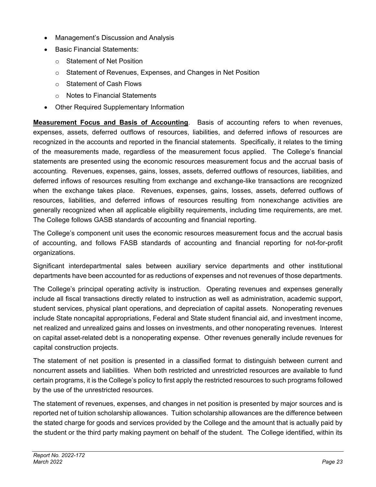- Management's Discussion and Analysis
- Basic Financial Statements:
	- o Statement of Net Position
	- o Statement of Revenues, Expenses, and Changes in Net Position
	- o Statement of Cash Flows
	- o Notes to Financial Statements
- Other Required Supplementary Information

**Measurement Focus and Basis of Accounting**. Basis of accounting refers to when revenues, expenses, assets, deferred outflows of resources, liabilities, and deferred inflows of resources are recognized in the accounts and reported in the financial statements. Specifically, it relates to the timing of the measurements made, regardless of the measurement focus applied. The College's financial statements are presented using the economic resources measurement focus and the accrual basis of accounting. Revenues, expenses, gains, losses, assets, deferred outflows of resources, liabilities, and deferred inflows of resources resulting from exchange and exchange-like transactions are recognized when the exchange takes place. Revenues, expenses, gains, losses, assets, deferred outflows of resources, liabilities, and deferred inflows of resources resulting from nonexchange activities are generally recognized when all applicable eligibility requirements, including time requirements, are met. The College follows GASB standards of accounting and financial reporting.

The College's component unit uses the economic resources measurement focus and the accrual basis of accounting, and follows FASB standards of accounting and financial reporting for not-for-profit organizations.

Significant interdepartmental sales between auxiliary service departments and other institutional departments have been accounted for as reductions of expenses and not revenues of those departments.

The College's principal operating activity is instruction. Operating revenues and expenses generally include all fiscal transactions directly related to instruction as well as administration, academic support, student services, physical plant operations, and depreciation of capital assets. Nonoperating revenues include State noncapital appropriations, Federal and State student financial aid, and investment income, net realized and unrealized gains and losses on investments, and other nonoperating revenues. Interest on capital asset-related debt is a nonoperating expense. Other revenues generally include revenues for capital construction projects.

The statement of net position is presented in a classified format to distinguish between current and noncurrent assets and liabilities. When both restricted and unrestricted resources are available to fund certain programs, it is the College's policy to first apply the restricted resources to such programs followed by the use of the unrestricted resources.

The statement of revenues, expenses, and changes in net position is presented by major sources and is reported net of tuition scholarship allowances. Tuition scholarship allowances are the difference between the stated charge for goods and services provided by the College and the amount that is actually paid by the student or the third party making payment on behalf of the student. The College identified, within its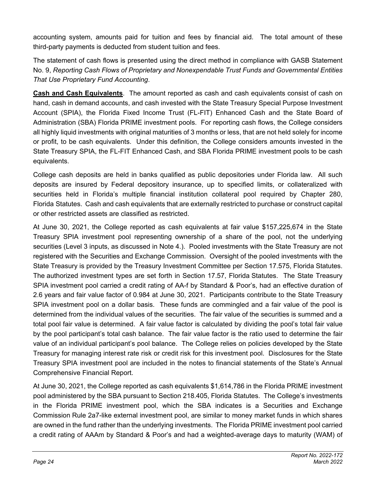accounting system, amounts paid for tuition and fees by financial aid. The total amount of these third-party payments is deducted from student tuition and fees.

The statement of cash flows is presented using the direct method in compliance with GASB Statement No. 9, *Reporting Cash Flows of Proprietary and Nonexpendable Trust Funds and Governmental Entities That Use Proprietary Fund Accounting*.

**Cash and Cash Equivalents**. The amount reported as cash and cash equivalents consist of cash on hand, cash in demand accounts, and cash invested with the State Treasury Special Purpose Investment Account (SPIA), the Florida Fixed Income Trust (FL-FIT) Enhanced Cash and the State Board of Administration (SBA) Florida PRIME investment pools. For reporting cash flows, the College considers all highly liquid investments with original maturities of 3 months or less, that are not held solely for income or profit, to be cash equivalents. Under this definition, the College considers amounts invested in the State Treasury SPIA, the FL-FIT Enhanced Cash, and SBA Florida PRIME investment pools to be cash equivalents.

College cash deposits are held in banks qualified as public depositories under Florida law. All such deposits are insured by Federal depository insurance, up to specified limits, or collateralized with securities held in Florida's multiple financial institution collateral pool required by Chapter 280, Florida Statutes. Cash and cash equivalents that are externally restricted to purchase or construct capital or other restricted assets are classified as restricted.

At June 30, 2021, the College reported as cash equivalents at fair value \$157,225,674 in the State Treasury SPIA investment pool representing ownership of a share of the pool, not the underlying securities (Level 3 inputs, as discussed in Note 4.). Pooled investments with the State Treasury are not registered with the Securities and Exchange Commission. Oversight of the pooled investments with the State Treasury is provided by the Treasury Investment Committee per Section 17.575, Florida Statutes. The authorized investment types are set forth in Section 17.57, Florida Statutes. The State Treasury SPIA investment pool carried a credit rating of AA-f by Standard & Poor's, had an effective duration of 2.6 years and fair value factor of 0.984 at June 30, 2021. Participants contribute to the State Treasury SPIA investment pool on a dollar basis. These funds are commingled and a fair value of the pool is determined from the individual values of the securities. The fair value of the securities is summed and a total pool fair value is determined. A fair value factor is calculated by dividing the pool's total fair value by the pool participant's total cash balance. The fair value factor is the ratio used to determine the fair value of an individual participant's pool balance. The College relies on policies developed by the State Treasury for managing interest rate risk or credit risk for this investment pool. Disclosures for the State Treasury SPIA investment pool are included in the notes to financial statements of the State's Annual Comprehensive Financial Report.

At June 30, 2021, the College reported as cash equivalents \$1,614,786 in the Florida PRIME investment pool administered by the SBA pursuant to Section 218.405, Florida Statutes. The College's investments in the Florida PRIME investment pool, which the SBA indicates is a Securities and Exchange Commission Rule 2a7-like external investment pool, are similar to money market funds in which shares are owned in the fund rather than the underlying investments. The Florida PRIME investment pool carried a credit rating of AAAm by Standard & Poor's and had a weighted-average days to maturity (WAM) of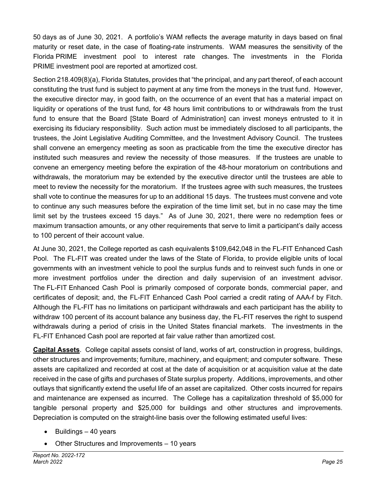50 days as of June 30, 2021. A portfolio's WAM reflects the average maturity in days based on final maturity or reset date, in the case of floating-rate instruments. WAM measures the sensitivity of the Florida PRIME investment pool to interest rate changes. The investments in the Florida PRIME investment pool are reported at amortized cost.

Section 218.409(8)(a), Florida Statutes, provides that "the principal, and any part thereof, of each account constituting the trust fund is subject to payment at any time from the moneys in the trust fund. However, the executive director may, in good faith, on the occurrence of an event that has a material impact on liquidity or operations of the trust fund, for 48 hours limit contributions to or withdrawals from the trust fund to ensure that the Board [State Board of Administration] can invest moneys entrusted to it in exercising its fiduciary responsibility. Such action must be immediately disclosed to all participants, the trustees, the Joint Legislative Auditing Committee, and the Investment Advisory Council. The trustees shall convene an emergency meeting as soon as practicable from the time the executive director has instituted such measures and review the necessity of those measures. If the trustees are unable to convene an emergency meeting before the expiration of the 48-hour moratorium on contributions and withdrawals, the moratorium may be extended by the executive director until the trustees are able to meet to review the necessity for the moratorium. If the trustees agree with such measures, the trustees shall vote to continue the measures for up to an additional 15 days. The trustees must convene and vote to continue any such measures before the expiration of the time limit set, but in no case may the time limit set by the trustees exceed 15 days." As of June 30, 2021, there were no redemption fees or maximum transaction amounts, or any other requirements that serve to limit a participant's daily access to 100 percent of their account value.

At June 30, 2021, the College reported as cash equivalents \$109,642,048 in the FL-FIT Enhanced Cash Pool. The FL-FIT was created under the laws of the State of Florida, to provide eligible units of local governments with an investment vehicle to pool the surplus funds and to reinvest such funds in one or more investment portfolios under the direction and daily supervision of an investment advisor. The FL-FIT Enhanced Cash Pool is primarily composed of corporate bonds, commercial paper, and certificates of deposit; and, the FL-FIT Enhanced Cash Pool carried a credit rating of AAA-f by Fitch. Although the FL-FIT has no limitations on participant withdrawals and each participant has the ability to withdraw 100 percent of its account balance any business day, the FL-FIT reserves the right to suspend withdrawals during a period of crisis in the United States financial markets. The investments in the FL-FIT Enhanced Cash pool are reported at fair value rather than amortized cost.

**Capital Assets**. College capital assets consist of land, works of art, construction in progress, buildings, other structures and improvements; furniture, machinery, and equipment; and computer software. These assets are capitalized and recorded at cost at the date of acquisition or at acquisition value at the date received in the case of gifts and purchases of State surplus property. Additions, improvements, and other outlays that significantly extend the useful life of an asset are capitalized. Other costs incurred for repairs and maintenance are expensed as incurred. The College has a capitalization threshold of \$5,000 for tangible personal property and \$25,000 for buildings and other structures and improvements. Depreciation is computed on the straight-line basis over the following estimated useful lives:

- Buildings 40 years
- Other Structures and Improvements 10 years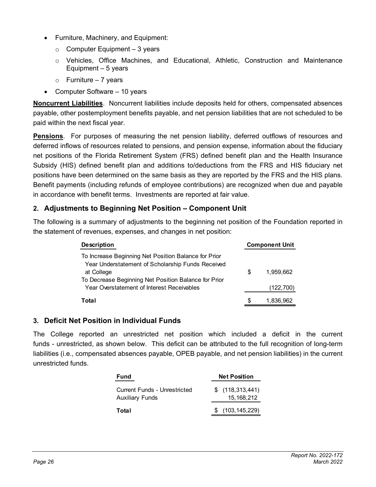- Furniture, Machinery, and Equipment:
	- $\circ$  Computer Equipment 3 years
	- o Vehicles, Office Machines, and Educational, Athletic, Construction and Maintenance Equipment – 5 years
	- $\circ$  Furniture 7 years
- Computer Software 10 years

**Noncurrent Liabilities**. Noncurrent liabilities include deposits held for others, compensated absences payable, other postemployment benefits payable, and net pension liabilities that are not scheduled to be paid within the next fiscal year.

**Pensions**. For purposes of measuring the net pension liability, deferred outflows of resources and deferred inflows of resources related to pensions, and pension expense, information about the fiduciary net positions of the Florida Retirement System (FRS) defined benefit plan and the Health Insurance Subsidy (HIS) defined benefit plan and additions to/deductions from the FRS and HIS fiduciary net positions have been determined on the same basis as they are reported by the FRS and the HIS plans. Benefit payments (including refunds of employee contributions) are recognized when due and payable in accordance with benefit terms. Investments are reported at fair value.

## **2. Adjustments to Beginning Net Position – Component Unit**

The following is a summary of adjustments to the beginning net position of the Foundation reported in the statement of revenues, expenses, and changes in net position:

| <b>Description</b>                                                                                                      |   | <b>Component Unit</b> |  |  |  |  |
|-------------------------------------------------------------------------------------------------------------------------|---|-----------------------|--|--|--|--|
| To Increase Beginning Net Position Balance for Prior<br>Year Understatement of Scholarship Funds Received<br>at College | S | 1.959.662             |  |  |  |  |
| To Decrease Beginning Net Position Balance for Prior<br>Year Overstatement of Interest Receivables                      |   | (122,700)             |  |  |  |  |
| Total                                                                                                                   | S | 1,836,962             |  |  |  |  |

## **3. Deficit Net Position in Individual Funds**

The College reported an unrestricted net position which included a deficit in the current funds - unrestricted, as shown below. This deficit can be attributed to the full recognition of long-term liabilities (i.e., compensated absences payable, OPEB payable, and net pension liabilities) in the current unrestricted funds.

| <b>Fund</b>                                                   | <b>Net Position</b>               |
|---------------------------------------------------------------|-----------------------------------|
| <b>Current Funds - Unrestricted</b><br><b>Auxiliary Funds</b> | \$(118, 313, 441)<br>15, 168, 212 |
| Total                                                         | \$(103, 145, 229)                 |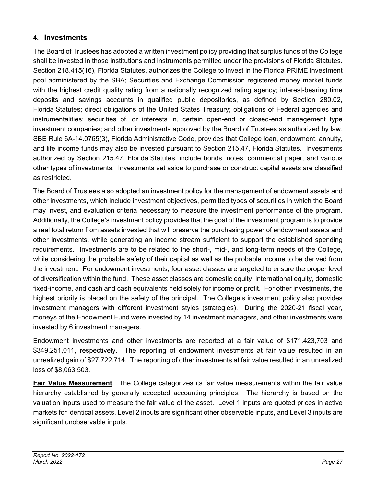## **4. Investments**

The Board of Trustees has adopted a written investment policy providing that surplus funds of the College shall be invested in those institutions and instruments permitted under the provisions of Florida Statutes. Section 218.415(16), Florida Statutes, authorizes the College to invest in the Florida PRIME investment pool administered by the SBA; Securities and Exchange Commission registered money market funds with the highest credit quality rating from a nationally recognized rating agency; interest-bearing time deposits and savings accounts in qualified public depositories, as defined by Section 280.02, Florida Statutes; direct obligations of the United States Treasury; obligations of Federal agencies and instrumentalities; securities of, or interests in, certain open-end or closed-end management type investment companies; and other investments approved by the Board of Trustees as authorized by law. SBE Rule 6A-14.0765(3), Florida Administrative Code, provides that College loan, endowment, annuity, and life income funds may also be invested pursuant to Section 215.47, Florida Statutes. Investments authorized by Section 215.47, Florida Statutes, include bonds, notes, commercial paper, and various other types of investments. Investments set aside to purchase or construct capital assets are classified as restricted.

The Board of Trustees also adopted an investment policy for the management of endowment assets and other investments, which include investment objectives, permitted types of securities in which the Board may invest, and evaluation criteria necessary to measure the investment performance of the program. Additionally, the College's investment policy provides that the goal of the investment program is to provide a real total return from assets invested that will preserve the purchasing power of endowment assets and other investments, while generating an income stream sufficient to support the established spending requirements. Investments are to be related to the short-, mid-, and long-term needs of the College, while considering the probable safety of their capital as well as the probable income to be derived from the investment. For endowment investments, four asset classes are targeted to ensure the proper level of diversification within the fund. These asset classes are domestic equity, international equity, domestic fixed-income, and cash and cash equivalents held solely for income or profit. For other investments, the highest priority is placed on the safety of the principal. The College's investment policy also provides investment managers with different investment styles (strategies). During the 2020-21 fiscal year, moneys of the Endowment Fund were invested by 14 investment managers, and other investments were invested by 6 investment managers.

Endowment investments and other investments are reported at a fair value of \$171,423,703 and \$349,251,011, respectively. The reporting of endowment investments at fair value resulted in an unrealized gain of \$27,722,714. The reporting of other investments at fair value resulted in an unrealized loss of \$8,063,503.

**Fair Value Measurement**. The College categorizes its fair value measurements within the fair value hierarchy established by generally accepted accounting principles. The hierarchy is based on the valuation inputs used to measure the fair value of the asset. Level 1 inputs are quoted prices in active markets for identical assets, Level 2 inputs are significant other observable inputs, and Level 3 inputs are significant unobservable inputs.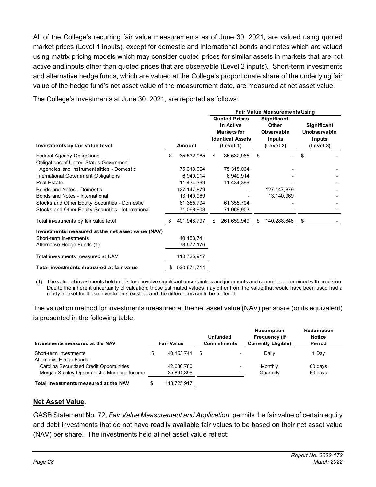All of the College's recurring fair value measurements as of June 30, 2021, are valued using quoted market prices (Level 1 inputs), except for domestic and international bonds and notes which are valued using matrix pricing models which may consider quoted prices for similar assets in markets that are not active and inputs other than quoted prices that are observable (Level 2 inputs). Short-term investments and alternative hedge funds, which are valued at the College's proportionate share of the underlying fair value of the hedge fund's net asset value of the measurement date, are measured at net asset value.

The College's investments at June 30, 2021, are reported as follows:

|                                                    |                   | <b>Fair Value Measurements Using</b> |                                                                                                 |    |                                                                  |                                                           |  |  |  |
|----------------------------------------------------|-------------------|--------------------------------------|-------------------------------------------------------------------------------------------------|----|------------------------------------------------------------------|-----------------------------------------------------------|--|--|--|
| Investments by fair value level                    | <b>Amount</b>     |                                      | <b>Quoted Prices</b><br>in Active<br><b>Markets for</b><br><b>Identical Assets</b><br>(Level 1) |    | Significant<br><b>Other</b><br>Observable<br>Inputs<br>(Level 2) | <b>Significant</b><br>Unobservable<br>Inputs<br>(Level 3) |  |  |  |
| <b>Federal Agency Obligations</b>                  | \$<br>35,532,965  | \$                                   | 35,532,965                                                                                      | \$ |                                                                  | \$                                                        |  |  |  |
| <b>Obligations of United States Government</b>     |                   |                                      |                                                                                                 |    |                                                                  |                                                           |  |  |  |
| Agencies and Instrumentalities - Domestic          | 75,318,064        |                                      | 75,318,064                                                                                      |    |                                                                  |                                                           |  |  |  |
| International Government Obligations               | 6,949,914         |                                      | 6,949,914                                                                                       |    |                                                                  |                                                           |  |  |  |
| <b>Real Estate</b>                                 | 11,434,399        |                                      | 11,434,399                                                                                      |    |                                                                  |                                                           |  |  |  |
| Bonds and Notes - Domestic                         | 127, 147, 879     |                                      |                                                                                                 |    | 127, 147, 879                                                    |                                                           |  |  |  |
| Bonds and Notes - International                    | 13,140,969        |                                      |                                                                                                 |    | 13,140,969                                                       |                                                           |  |  |  |
| Stocks and Other Equity Securities - Domestic      | 61,355,704        |                                      | 61,355,704                                                                                      |    |                                                                  |                                                           |  |  |  |
| Stocks and Other Equity Securities - International | 71,068,903        |                                      | 71,068,903                                                                                      |    |                                                                  |                                                           |  |  |  |
| Total investments by fair value level              | 401,948,797       | S                                    | 261,659,949                                                                                     | S  | 140,288,848                                                      | -\$                                                       |  |  |  |
| Investments measured at the net asset value (NAV)  |                   |                                      |                                                                                                 |    |                                                                  |                                                           |  |  |  |
| Short-term Investments                             | 40, 153, 741      |                                      |                                                                                                 |    |                                                                  |                                                           |  |  |  |
| Alternative Hedge Funds (1)                        | 78,572,176        |                                      |                                                                                                 |    |                                                                  |                                                           |  |  |  |
| Total investments measured at NAV                  | 118,725,917       |                                      |                                                                                                 |    |                                                                  |                                                           |  |  |  |
| Total investments measured at fair value           | \$<br>520,674,714 |                                      |                                                                                                 |    |                                                                  |                                                           |  |  |  |

(1) The value of investments held in this fund involve significant uncertainties and judgments and cannot be determined with precision. Due to the inherent uncertainty of valuation, those estimated values may differ from the value that would have been used had a ready market for these investments existed, and the differences could be material.

The valuation method for investments measured at the net asset value (NAV) per share (or its equivalent) is presented in the following table:

| Investments measured at the NAV              | <b>Fair Value</b> | <b>Unfunded</b><br><b>Commitments</b> |   | Redemption<br><b>Frequency (if</b><br><b>Currently Eligible)</b> | Redemption<br><b>Notice</b><br>Period |
|----------------------------------------------|-------------------|---------------------------------------|---|------------------------------------------------------------------|---------------------------------------|
| Short-term investments                       | \$<br>40.153.741  | \$                                    |   | Daily                                                            | 1 Dav                                 |
| Alternative Hedge Funds:                     |                   |                                       |   |                                                                  |                                       |
| Carolina Securitized Credit Opportunities    | 42.680.780        |                                       | ۰ | Monthly                                                          | 60 days                               |
| Morgan Stanley Opportunistic Mortgage Income | 35,891,396        |                                       | - | Quarterly                                                        | 60 days                               |
| Total investments measured at the NAV        | 118.725.917       |                                       |   |                                                                  |                                       |

#### **Net Asset Value**.

GASB Statement No. 72, *Fair Value Measurement and Application*, permits the fair value of certain equity and debt investments that do not have readily available fair values to be based on their net asset value (NAV) per share. The investments held at net asset value reflect: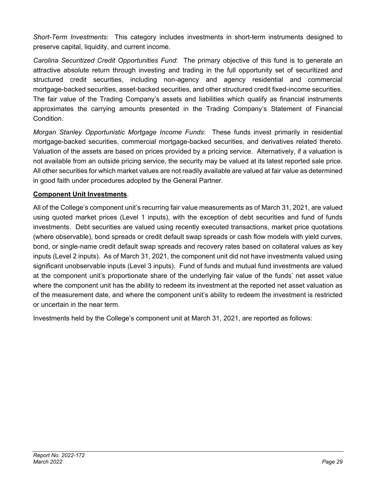*Short-Term Investments*: This category includes investments in short-term instruments designed to preserve capital, liquidity, and current income.

*Carolina Securitized Credit Opportunities Fund*: The primary objective of this fund is to generate an attractive absolute return through investing and trading in the full opportunity set of securitized and structured credit securities, including non-agency and agency residential and commercial mortgage-backed securities, asset-backed securities, and other structured credit fixed-income securities. The fair value of the Trading Company's assets and liabilities which qualify as financial instruments approximates the carrying amounts presented in the Trading Company's Statement of Financial Condition.

*Morgan Stanley Opportunistic Mortgage Income Funds*: These funds invest primarily in residential mortgage-backed securities, commercial mortgage-backed securities, and derivatives related thereto. Valuation of the assets are based on prices provided by a pricing service. Alternatively, if a valuation is not available from an outside pricing service, the security may be valued at its latest reported sale price. All other securities for which market values are not readily available are valued at fair value as determined in good faith under procedures adopted by the General Partner.

## **Component Unit Investments**.

All of the College's component unit's recurring fair value measurements as of March 31, 2021, are valued using quoted market prices (Level 1 inputs), with the exception of debt securities and fund of funds investments. Debt securities are valued using recently executed transactions, market price quotations (where observable), bond spreads or credit default swap spreads or cash flow models with yield curves, bond, or single-name credit default swap spreads and recovery rates based on collateral values as key inputs (Level 2 inputs). As of March 31, 2021, the component unit did not have investments valued using significant unobservable inputs (Level 3 inputs). Fund of funds and mutual fund investments are valued at the component unit's proportionate share of the underlying fair value of the funds' net asset value where the component unit has the ability to redeem its investment at the reported net asset valuation as of the measurement date, and where the component unit's ability to redeem the investment is restricted or uncertain in the near term.

Investments held by the College's component unit at March 31, 2021, are reported as follows: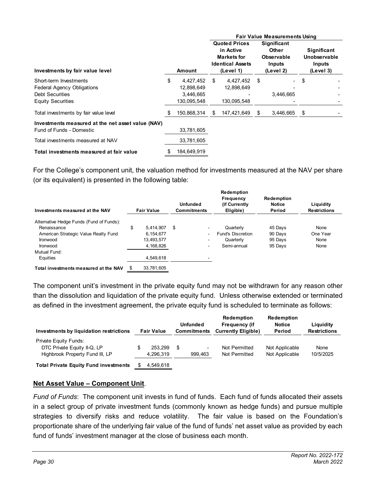|                                                                                                            |                                                           |    |                                                                                                 |      | <b>Fair Value Measurements Using</b>                                                  |                                                           |  |
|------------------------------------------------------------------------------------------------------------|-----------------------------------------------------------|----|-------------------------------------------------------------------------------------------------|------|---------------------------------------------------------------------------------------|-----------------------------------------------------------|--|
| Investments by fair value level                                                                            | <b>Amount</b>                                             |    | <b>Quoted Prices</b><br>in Active<br><b>Markets for</b><br><b>Identical Assets</b><br>(Level 1) |      | <b>Significant</b><br><b>Other</b><br><b>Observable</b><br><b>Inputs</b><br>(Level 2) | <b>Significant</b><br>Unobservable<br>Inputs<br>(Level 3) |  |
| Short-term Investments<br>Federal Agency Obligations<br><b>Debt Securities</b><br><b>Equity Securities</b> | \$<br>4,427,452<br>12,898,649<br>3,446,665<br>130,095,548 | \$ | 4,427,452<br>12,898,649<br>130,095,548                                                          | -\$  | 3,446,665                                                                             | \$                                                        |  |
| Total investments by fair value level                                                                      | 150,868,314                                               | S  | 147,421,649                                                                                     | - \$ | 3.446,665                                                                             | \$                                                        |  |
| Investments measured at the net asset value (NAV)<br>Fund of Funds - Domestic                              | 33,781,605                                                |    |                                                                                                 |      |                                                                                       |                                                           |  |
| Total investments measured at NAV                                                                          | 33,781,605                                                |    |                                                                                                 |      |                                                                                       |                                                           |  |
| Total investments measured at fair value                                                                   | 184.649.919                                               |    |                                                                                                 |      |                                                                                       |                                                           |  |

For the College's component unit, the valuation method for investments measured at the NAV per share (or its equivalent) is presented in the following table:

| Investments measured at the NAV          | <b>Fair Value</b> | <b>Unfunded</b><br><b>Commitments</b> | <b>Redemption</b><br>Frequency<br>(if Currently)<br>Eligible) | Redemption<br><b>Notice</b><br>Period | Liquidity<br><b>Restrictions</b> |
|------------------------------------------|-------------------|---------------------------------------|---------------------------------------------------------------|---------------------------------------|----------------------------------|
| Alternative Hedge Funds (Fund of Funds): |                   |                                       |                                                               |                                       |                                  |
| Renaissance                              | \$<br>5.414.907   | \$<br>$\blacksquare$                  | Quarterly                                                     | 45 Days                               | None                             |
| American Strategic Value Realty Fund     | 6,154,677         | $\blacksquare$                        | <b>Fund's Discretion</b>                                      | 90 Days                               | One Year                         |
| Ironwood                                 | 13,493,577        | ٠                                     | Quarterly                                                     | 95 Days                               | None                             |
| Ironwood                                 | 4,168,826         | $\blacksquare$                        | Semi-annual                                                   | 95 Davs                               | None                             |
| Mutual Fund:                             |                   |                                       |                                                               |                                       |                                  |
| Equities                                 | 4.549.618         | -                                     |                                                               |                                       |                                  |
| Total investments measured at the NAV    | 33,781,605        |                                       |                                                               |                                       |                                  |

The component unit's investment in the private equity fund may not be withdrawn for any reason other than the dissolution and liquidation of the private equity fund. Unless otherwise extended or terminated as defined in the investment agreement, the private equity fund is scheduled to terminate as follows:

| Investments by liquidation restrictions                                                        |  | <b>Fair Value</b>    |   | Unfunded<br><b>Commitments</b>      | <b>Redemption</b><br>Frequency (if<br><b>Currently Eligible)</b> | <b>Redemption</b><br><b>Notice</b><br>Period | Liquidity<br><b>Restrictions</b> |  |
|------------------------------------------------------------------------------------------------|--|----------------------|---|-------------------------------------|------------------------------------------------------------------|----------------------------------------------|----------------------------------|--|
| <b>Private Equity Funds:</b><br>DTC Private Equity II-Q, LP<br>Highbrook Property Fund III, LP |  | 253.299<br>4.296.319 | S | $\overline{\phantom{a}}$<br>999.463 | Not Permitted<br>Not Permitted                                   | Not Applicable<br>Not Applicable             | None<br>10/5/2025                |  |
| <b>Total Private Equity Fund investments</b>                                                   |  | 4,549,618            |   |                                     |                                                                  |                                              |                                  |  |

#### **Net Asset Value – Component Unit**.

*Fund of Funds*: The component unit invests in fund of funds. Each fund of funds allocated their assets in a select group of private investment funds (commonly known as hedge funds) and pursue multiple strategies to diversify risks and reduce volatility. The fair value is based on the Foundation's proportionate share of the underlying fair value of the fund of funds' net asset value as provided by each fund of funds' investment manager at the close of business each month.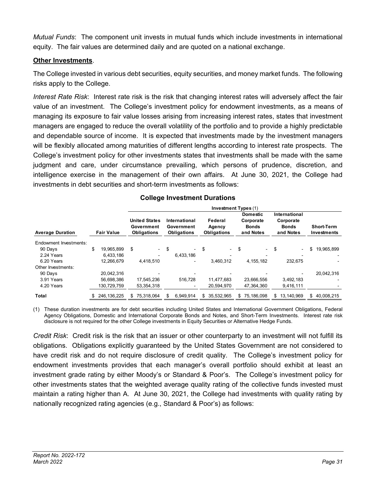*Mutual Funds*: The component unit invests in mutual funds which include investments in international equity. The fair values are determined daily and are quoted on a national exchange.

## **Other Investments**.

The College invested in various debt securities, equity securities, and money market funds. The following risks apply to the College.

*Interest Rate Risk*: Interest rate risk is the risk that changing interest rates will adversely affect the fair value of an investment. The College's investment policy for endowment investments, as a means of managing its exposure to fair value losses arising from increasing interest rates, states that investment managers are engaged to reduce the overall volatility of the portfolio and to provide a highly predictable and dependable source of income. It is expected that investments made by the investment managers will be flexibly allocated among maturities of different lengths according to interest rate prospects. The College's investment policy for other investments states that investments shall be made with the same judgment and care, under circumstance prevailing, which persons of prudence, discretion, and intelligence exercise in the management of their own affairs. At June 30, 2021, the College had investments in debt securities and short-term investments as follows:

|                         |    |                   | Investment Types (1) |                          |      |           |     |            |      |                                                          |      |                                                   |                                         |            |  |                                                           |  |                                                         |  |                                  |  |
|-------------------------|----|-------------------|----------------------|--------------------------|------|-----------|-----|------------|------|----------------------------------------------------------|------|---------------------------------------------------|-----------------------------------------|------------|--|-----------------------------------------------------------|--|---------------------------------------------------------|--|----------------------------------|--|
| <b>Average Duration</b> |    | <b>Fair Value</b> |                      |                          |      |           |     |            |      | <b>United States</b><br>Government<br><b>Obligations</b> |      | International<br>Government<br><b>Obligations</b> | Federal<br>Agency<br><b>Obligations</b> |            |  | <b>Domestic</b><br>Corporate<br><b>Bonds</b><br>and Notes |  | International<br>Corporate<br><b>Bonds</b><br>and Notes |  | <b>Short-Term</b><br>Investments |  |
| Endowment Investments:  |    |                   |                      |                          |      |           |     |            |      |                                                          |      |                                                   |                                         |            |  |                                                           |  |                                                         |  |                                  |  |
| 90 Days                 | \$ | 19.965.899        | S                    |                          | $-5$ | $\sim$    | \$  |            | $-5$ |                                                          | $-5$ | $\sim$                                            | \$                                      | 19,965,899 |  |                                                           |  |                                                         |  |                                  |  |
| 2.24 Years              |    | 6.433.186         |                      | $\overline{\phantom{0}}$ |      | 6,433,186 |     |            |      |                                                          |      |                                                   |                                         |            |  |                                                           |  |                                                         |  |                                  |  |
| 6.20 Years              |    | 12,266,679        |                      | 4,418,510                |      | -         |     | 3.460.312  |      | 4, 155, 182                                              |      | 232.675                                           |                                         |            |  |                                                           |  |                                                         |  |                                  |  |
| Other Investments:      |    |                   |                      |                          |      |           |     |            |      |                                                          |      |                                                   |                                         |            |  |                                                           |  |                                                         |  |                                  |  |
| 90 Days                 |    | 20,042,316        |                      |                          |      |           |     |            |      |                                                          |      |                                                   |                                         | 20.042.316 |  |                                                           |  |                                                         |  |                                  |  |
| 3.91 Years              |    | 56.698.386        |                      | 17.545.236               |      | 516.728   |     | 11.477.683 |      | 23,666,556                                               |      | 3.492.183                                         |                                         |            |  |                                                           |  |                                                         |  |                                  |  |
| 4.20 Years              |    | 130,729,759       |                      | 53,354,318               |      |           |     | 20,594,970 |      | 47,364,360                                               |      | 9,416,111                                         |                                         |            |  |                                                           |  |                                                         |  |                                  |  |
| Total                   | \$ | 246.136.225       | S                    | 75.318.064               | S    | 6.949.914 | \$. | 35.532.965 | \$   | 75.186.098                                               | \$   | 13.140.969                                        | \$                                      | 40.008.215 |  |                                                           |  |                                                         |  |                                  |  |

#### **College Investment Durations**

(1) These duration investments are for debt securities including United States and International Government Obligations, Federal Agency Obligations, Domestic and International Corporate Bonds and Notes, and Short-Term Investments. Interest rate risk disclosure is not required for the other College investments in Equity Securities or Alternative Hedge Funds.

*Credit Risk*: Credit risk is the risk that an issuer or other counterparty to an investment will not fulfill its obligations. Obligations explicitly guaranteed by the United States Government are not considered to have credit risk and do not require disclosure of credit quality. The College's investment policy for endowment investments provides that each manager's overall portfolio should exhibit at least an investment grade rating by either Moody's or Standard & Poor's. The College's investment policy for other investments states that the weighted average quality rating of the collective funds invested must maintain a rating higher than A. At June 30, 2021, the College had investments with quality rating by nationally recognized rating agencies (e.g., Standard & Poor's) as follows: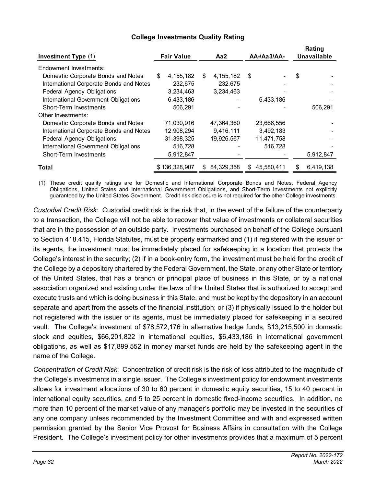| Investment Type (1)                     |    | <b>Fair Value</b> |   | Aa2         |    | AA-/Aa3/AA- |   | Rating<br>Unavailable |  |
|-----------------------------------------|----|-------------------|---|-------------|----|-------------|---|-----------------------|--|
| Endowment Investments:                  |    |                   |   |             |    |             |   |                       |  |
| Domestic Corporate Bonds and Notes      | \$ | 4, 155, 182       | S | 4, 155, 182 | \$ |             | S |                       |  |
| International Corporate Bonds and Notes |    | 232,675           |   | 232,675     |    |             |   |                       |  |
| <b>Federal Agency Obligations</b>       |    | 3,234,463         |   | 3,234,463   |    |             |   |                       |  |
| International Government Obligations    |    | 6,433,186         |   |             |    | 6,433,186   |   |                       |  |
| Short-Term Investments                  |    | 506,291           |   |             |    |             |   | 506,291               |  |
| Other Investments:                      |    |                   |   |             |    |             |   |                       |  |
| Domestic Corporate Bonds and Notes      |    | 71,030,916        |   | 47,364,360  |    | 23.666.556  |   |                       |  |
| International Corporate Bonds and Notes |    | 12,908,294        |   | 9,416,111   |    | 3,492,183   |   |                       |  |
| <b>Federal Agency Obligations</b>       |    | 31,398,325        |   | 19,926,567  |    | 11,471,758  |   |                       |  |
| International Government Obligations    |    | 516,728           |   |             |    | 516.728     |   |                       |  |
| Short-Term Investments                  |    | 5,912,847         |   |             |    |             |   | 5,912,847             |  |
| Total                                   |    | \$136,328,907     |   | 84,329,358  | S. | 45,580,411  |   | 6,419,138             |  |
|                                         |    |                   |   |             |    |             |   |                       |  |

## **College Investments Quality Rating**

(1) These credit quality ratings are for Domestic and International Corporate Bonds and Notes, Federal Agency Obligations, United States and International Government Obligations, and Short-Term Investments not explicitly guaranteed by the United States Government. Credit risk disclosure is not required for the other College investments.

*Custodial Credit Risk*: Custodial credit risk is the risk that, in the event of the failure of the counterparty to a transaction, the College will not be able to recover that value of investments or collateral securities that are in the possession of an outside party. Investments purchased on behalf of the College pursuant to Section 418.415, Florida Statutes, must be properly earmarked and (1) if registered with the issuer or its agents, the investment must be immediately placed for safekeeping in a location that protects the College's interest in the security; (2) if in a book-entry form, the investment must be held for the credit of the College by a depository chartered by the Federal Government, the State, or any other State or territory of the United States, that has a branch or principal place of business in this State, or by a national association organized and existing under the laws of the United States that is authorized to accept and execute trusts and which is doing business in this State, and must be kept by the depository in an account separate and apart from the assets of the financial institution; or (3) if physically issued to the holder but not registered with the issuer or its agents, must be immediately placed for safekeeping in a secured vault. The College's investment of \$78,572,176 in alternative hedge funds, \$13,215,500 in domestic stock and equities, \$66,201,822 in international equities, \$6,433,186 in international government obligations, as well as \$17,899,552 in money market funds are held by the safekeeping agent in the name of the College.

*Concentration of Credit Risk*: Concentration of credit risk is the risk of loss attributed to the magnitude of the College's investments in a single issuer. The College's investment policy for endowment investments allows for investment allocations of 30 to 60 percent in domestic equity securities, 15 to 40 percent in international equity securities, and 5 to 25 percent in domestic fixed-income securities. In addition, no more than 10 percent of the market value of any manager's portfolio may be invested in the securities of any one company unless recommended by the Investment Committee and with and expressed written permission granted by the Senior Vice Provost for Business Affairs in consultation with the College President. The College's investment policy for other investments provides that a maximum of 5 percent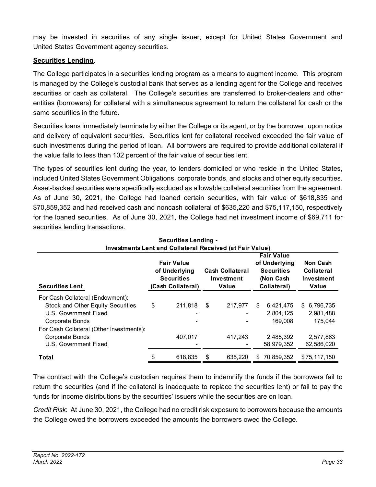may be invested in securities of any single issuer, except for United States Government and United States Government agency securities.

## **Securities Lending**.

The College participates in a securities lending program as a means to augment income. This program is managed by the College's custodial bank that serves as a lending agent for the College and receives securities or cash as collateral. The College's securities are transferred to broker-dealers and other entities (borrowers) for collateral with a simultaneous agreement to return the collateral for cash or the same securities in the future.

Securities loans immediately terminate by either the College or its agent, or by the borrower, upon notice and delivery of equivalent securities. Securities lent for collateral received exceeded the fair value of such investments during the period of loan. All borrowers are required to provide additional collateral if the value falls to less than 102 percent of the fair value of securities lent.

The types of securities lent during the year, to lenders domiciled or who reside in the United States, included United States Government Obligations, corporate bonds, and stocks and other equity securities. Asset-backed securities were specifically excluded as allowable collateral securities from the agreement. As of June 30, 2021, the College had loaned certain securities, with fair value of \$618,835 and \$70,859,352 and had received cash and noncash collateral of \$635,220 and \$75,117,150, respectively for the loaned securities. As of June 30, 2021, the College had net investment income of \$69,711 for securities lending transactions.

| <b>Securities Lending -</b>                                                                                                                                                                                                    |    |                                                                              |    |                                               |     |                                                                                     |                                                                 |
|--------------------------------------------------------------------------------------------------------------------------------------------------------------------------------------------------------------------------------|----|------------------------------------------------------------------------------|----|-----------------------------------------------|-----|-------------------------------------------------------------------------------------|-----------------------------------------------------------------|
| Investments Lent and Collateral Received (at Fair Value)                                                                                                                                                                       |    |                                                                              |    |                                               |     |                                                                                     |                                                                 |
| <b>Securities Lent</b>                                                                                                                                                                                                         |    | <b>Fair Value</b><br>of Underlying<br><b>Securities</b><br>(Cash Collateral) |    | <b>Cash Collateral</b><br>Investment<br>Value |     | <b>Fair Value</b><br>of Underlying<br><b>Securities</b><br>(Non Cash<br>Collateral) | Non Cash<br><b>Collateral</b><br>Investment<br>Value            |
| For Cash Collateral (Endowment):<br><b>Stock and Other Equity Securities</b><br>U.S. Government Fixed<br><b>Corporate Bonds</b><br>For Cash Collateral (Other Investments):<br><b>Corporate Bonds</b><br>U.S. Government Fixed | \$ | 211.818<br>407,017                                                           | \$ | 217,977<br>417.243                            | \$  | 6,421,475<br>2,804,125<br>169,008<br>2,485,392<br>58,979,352                        | \$ 6,796,735<br>2,981,488<br>175,044<br>2,577,863<br>62,586,020 |
| Total                                                                                                                                                                                                                          |    | 618,835                                                                      | \$ | 635.220                                       | \$. | 70,859,352                                                                          | \$75,117,150                                                    |

The contract with the College's custodian requires them to indemnify the funds if the borrowers fail to return the securities (and if the collateral is inadequate to replace the securities lent) or fail to pay the funds for income distributions by the securities' issuers while the securities are on loan.

*Credit Risk*: At June 30, 2021, the College had no credit risk exposure to borrowers because the amounts the College owed the borrowers exceeded the amounts the borrowers owed the College.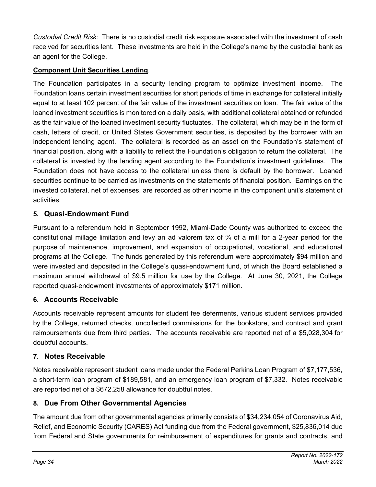*Custodial Credit Risk*: There is no custodial credit risk exposure associated with the investment of cash received for securities lent. These investments are held in the College's name by the custodial bank as an agent for the College.

## **Component Unit Securities Lending**.

The Foundation participates in a security lending program to optimize investment income. The Foundation loans certain investment securities for short periods of time in exchange for collateral initially equal to at least 102 percent of the fair value of the investment securities on loan. The fair value of the loaned investment securities is monitored on a daily basis, with additional collateral obtained or refunded as the fair value of the loaned investment security fluctuates. The collateral, which may be in the form of cash, letters of credit, or United States Government securities, is deposited by the borrower with an independent lending agent. The collateral is recorded as an asset on the Foundation's statement of financial position, along with a liability to reflect the Foundation's obligation to return the collateral. The collateral is invested by the lending agent according to the Foundation's investment guidelines. The Foundation does not have access to the collateral unless there is default by the borrower. Loaned securities continue to be carried as investments on the statements of financial position. Earnings on the invested collateral, net of expenses, are recorded as other income in the component unit's statement of activities.

## **5. Quasi-Endowment Fund**

Pursuant to a referendum held in September 1992, Miami-Dade County was authorized to exceed the constitutional millage limitation and levy an ad valorem tax of  $\frac{3}{4}$  of a mill for a 2-year period for the purpose of maintenance, improvement, and expansion of occupational, vocational, and educational programs at the College. The funds generated by this referendum were approximately \$94 million and were invested and deposited in the College's quasi-endowment fund, of which the Board established a maximum annual withdrawal of \$9.5 million for use by the College. At June 30, 2021, the College reported quasi-endowment investments of approximately \$171 million.

## **6. Accounts Receivable**

Accounts receivable represent amounts for student fee deferments, various student services provided by the College, returned checks, uncollected commissions for the bookstore, and contract and grant reimbursements due from third parties. The accounts receivable are reported net of a \$5,028,304 for doubtful accounts.

## **7. Notes Receivable**

Notes receivable represent student loans made under the Federal Perkins Loan Program of \$7,177,536, a short-term loan program of \$189,581, and an emergency loan program of \$7,332. Notes receivable are reported net of a \$672,258 allowance for doubtful notes.

## **8. Due From Other Governmental Agencies**

The amount due from other governmental agencies primarily consists of \$34,234,054 of Coronavirus Aid, Relief, and Economic Security (CARES) Act funding due from the Federal government, \$25,836,014 due from Federal and State governments for reimbursement of expenditures for grants and contracts, and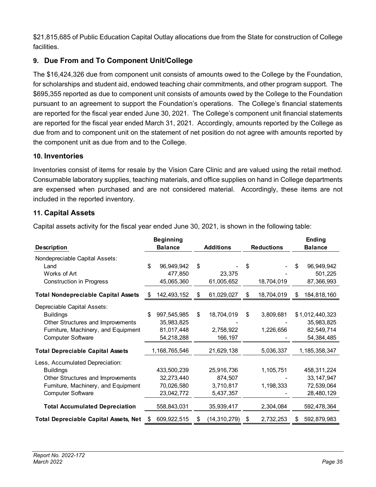\$21,815,685 of Public Education Capital Outlay allocations due from the State for construction of College facilities.

## **9. Due From and To Component Unit/College**

The \$16,424,326 due from component unit consists of amounts owed to the College by the Foundation, for scholarships and student aid, endowed teaching chair commitments, and other program support. The \$695,355 reported as due to component unit consists of amounts owed by the College to the Foundation pursuant to an agreement to support the Foundation's operations. The College's financial statements are reported for the fiscal year ended June 30, 2021. The College's component unit financial statements are reported for the fiscal year ended March 31, 2021. Accordingly, amounts reported by the College as due from and to component unit on the statement of net position do not agree with amounts reported by the component unit as due from and to the College.

## **10. Inventories**

Inventories consist of items for resale by the Vision Care Clinic and are valued using the retail method. Consumable laboratory supplies, teaching materials, and office supplies on hand in College departments are expensed when purchased and are not considered material. Accordingly, these items are not included in the reported inventory.

## **11. Capital Assets**

Capital assets activity for the fiscal year ended June 30, 2021, is shown in the following table:

|                                              |     | <b>Beginning</b> |    |                  |                   |            |                | Ending           |
|----------------------------------------------|-----|------------------|----|------------------|-------------------|------------|----------------|------------------|
| <b>Description</b>                           |     | <b>Balance</b>   |    | <b>Additions</b> | <b>Reductions</b> |            | <b>Balance</b> |                  |
| Nondepreciable Capital Assets:               |     |                  |    |                  |                   |            |                |                  |
| Land                                         | \$  | 96,949,942       | \$ |                  | \$                |            | \$             | 96,949,942       |
| Works of Art                                 |     | 477,850          |    | 23,375           |                   |            |                | 501,225          |
| <b>Construction in Progress</b>              |     | 45,065,360       |    | 61,005,652       |                   | 18,704,019 |                | 87,366,993       |
| <b>Total Nondepreciable Capital Assets</b>   | \$  | 142,493,152      | \$ | 61,029,027       | \$                | 18,704,019 | \$             | 184,818,160      |
| Depreciable Capital Assets:                  |     |                  |    |                  |                   |            |                |                  |
| <b>Buildings</b>                             | \$. | 997,545,985      | \$ | 18,704,019       | \$                | 3,809,681  |                | \$1,012,440,323  |
| Other Structures and Improvements            |     | 35,983,825       |    |                  |                   |            |                | 35,983,825       |
| Furniture, Machinery, and Equipment          |     | 81,017,448       |    | 2,758,922        |                   | 1,226,656  |                | 82,549,714       |
| <b>Computer Software</b>                     |     | 54,218,288       |    | 166,197          |                   |            |                | 54,384,485       |
| <b>Total Depreciable Capital Assets</b>      |     | 1,168,765,546    |    | 21,629,138       |                   | 5,036,337  |                | 1, 185, 358, 347 |
| Less, Accumulated Depreciation:              |     |                  |    |                  |                   |            |                |                  |
| <b>Buildings</b>                             |     | 433,500,239      |    | 25,916,736       |                   | 1,105,751  |                | 458,311,224      |
| Other Structures and Improvements            |     | 32,273,440       |    | 874,507          |                   |            |                | 33, 147, 947     |
| Furniture, Machinery, and Equipment          |     | 70,026,580       |    | 3,710,817        |                   | 1,198,333  |                | 72,539,064       |
| <b>Computer Software</b>                     |     | 23,042,772       |    | 5,437,357        |                   |            |                | 28,480,129       |
| <b>Total Accumulated Depreciation</b>        |     | 558,843,031      |    | 35,939,417       |                   | 2,304,084  |                | 592,478,364      |
| <b>Total Depreciable Capital Assets, Net</b> | \$  | 609,922,515      | S  | (14, 310, 279)   | \$                | 2,732,253  | S              | 592,879,983      |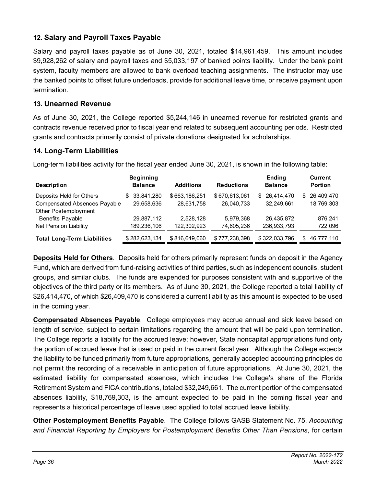## **12. Salary and Payroll Taxes Payable**

Salary and payroll taxes payable as of June 30, 2021, totaled \$14,961,459. This amount includes \$9,928,262 of salary and payroll taxes and \$5,033,197 of banked points liability. Under the bank point system, faculty members are allowed to bank overload teaching assignments. The instructor may use the banked points to offset future underloads, provide for additional leave time, or receive payment upon termination.

## **13. Unearned Revenue**

As of June 30, 2021, the College reported \$5,244,146 in unearned revenue for restricted grants and contracts revenue received prior to fiscal year end related to subsequent accounting periods. Restricted grants and contracts primarily consist of private donations designated for scholarships.

## **14. Long-Term Liabilities**

Long-term liabilities activity for the fiscal year ended June 30, 2021, is shown in the following table:

| <b>Description</b>                                              | <b>Beginning</b><br><b>Balance</b> | <b>Additions</b>            | <b>Reductions</b>           | <b>Ending</b><br><b>Balance</b> | <b>Current</b><br><b>Portion</b> |
|-----------------------------------------------------------------|------------------------------------|-----------------------------|-----------------------------|---------------------------------|----------------------------------|
| Deposits Held for Others<br><b>Compensated Absences Payable</b> | 33,841,280<br>S.<br>29,658,636     | \$663,186,251<br>28,631,758 | \$670,613,061<br>26,040,733 | 26.414.470<br>S.<br>32.249.661  | 26.409.470<br>S.<br>18,769,303   |
| Other Postemployment<br><b>Benefits Payable</b>                 | 29,887,112                         | 2,528,128                   | 5.979.368                   | 26,435,872                      | 876.241                          |
| Net Pension Liability                                           | 189,236,106                        | 122,302,923                 | 74,605,236                  | 236,933,793                     | 722,096                          |
| <b>Total Long-Term Liabilities</b>                              | \$282,623,134                      | \$816,649,060               | \$777,238,398               | \$322,033,796                   | 46,777,110<br>\$.                |

**Deposits Held for Others**. Deposits held for others primarily represent funds on deposit in the Agency Fund, which are derived from fund-raising activities of third parties, such as independent councils, student groups, and similar clubs. The funds are expended for purposes consistent with and supportive of the objectives of the third party or its members. As of June 30, 2021, the College reported a total liability of \$26,414,470, of which \$26,409,470 is considered a current liability as this amount is expected to be used in the coming year.

**Compensated Absences Payable**. College employees may accrue annual and sick leave based on length of service, subject to certain limitations regarding the amount that will be paid upon termination. The College reports a liability for the accrued leave; however, State noncapital appropriations fund only the portion of accrued leave that is used or paid in the current fiscal year. Although the College expects the liability to be funded primarily from future appropriations, generally accepted accounting principles do not permit the recording of a receivable in anticipation of future appropriations. At June 30, 2021, the estimated liability for compensated absences, which includes the College's share of the Florida Retirement System and FICA contributions, totaled \$32,249,661. The current portion of the compensated absences liability, \$18,769,303, is the amount expected to be paid in the coming fiscal year and represents a historical percentage of leave used applied to total accrued leave liability.

**Other Postemployment Benefits Payable**. The College follows GASB Statement No. 75, *Accounting and Financial Reporting by Employers for Postemployment Benefits Other Than Pensions*, for certain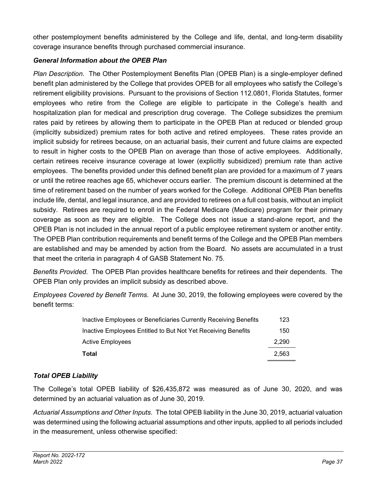other postemployment benefits administered by the College and life, dental, and long-term disability coverage insurance benefits through purchased commercial insurance.

## *General Information about the OPEB Plan*

*Plan Description*. The Other Postemployment Benefits Plan (OPEB Plan) is a single-employer defined benefit plan administered by the College that provides OPEB for all employees who satisfy the College's retirement eligibility provisions. Pursuant to the provisions of Section 112.0801, Florida Statutes, former employees who retire from the College are eligible to participate in the College's health and hospitalization plan for medical and prescription drug coverage. The College subsidizes the premium rates paid by retirees by allowing them to participate in the OPEB Plan at reduced or blended group (implicitly subsidized) premium rates for both active and retired employees. These rates provide an implicit subsidy for retirees because, on an actuarial basis, their current and future claims are expected to result in higher costs to the OPEB Plan on average than those of active employees. Additionally, certain retirees receive insurance coverage at lower (explicitly subsidized) premium rate than active employees. The benefits provided under this defined benefit plan are provided for a maximum of 7 years or until the retiree reaches age 65, whichever occurs earlier. The premium discount is determined at the time of retirement based on the number of years worked for the College. Additional OPEB Plan benefits include life, dental, and legal insurance, and are provided to retirees on a full cost basis, without an implicit subsidy. Retirees are required to enroll in the Federal Medicare (Medicare) program for their primary coverage as soon as they are eligible. The College does not issue a stand-alone report, and the OPEB Plan is not included in the annual report of a public employee retirement system or another entity. The OPEB Plan contribution requirements and benefit terms of the College and the OPEB Plan members are established and may be amended by action from the Board. No assets are accumulated in a trust that meet the criteria in paragraph 4 of GASB Statement No. 75.

*Benefits Provided*. The OPEB Plan provides healthcare benefits for retirees and their dependents. The OPEB Plan only provides an implicit subsidy as described above.

*Employees Covered by Benefit Terms*. At June 30, 2019, the following employees were covered by the benefit terms:

| Inactive Employees or Beneficiaries Currently Receiving Benefits | 123   |
|------------------------------------------------------------------|-------|
| Inactive Employees Entitled to But Not Yet Receiving Benefits    | 150   |
| <b>Active Employees</b>                                          | 2.290 |
| Total                                                            | 2.563 |

## *Total OPEB Liability*

The College's total OPEB liability of \$26,435,872 was measured as of June 30, 2020, and was determined by an actuarial valuation as of June 30, 2019.

*Actuarial Assumptions and Other Inputs*. The total OPEB liability in the June 30, 2019, actuarial valuation was determined using the following actuarial assumptions and other inputs, applied to all periods included in the measurement, unless otherwise specified: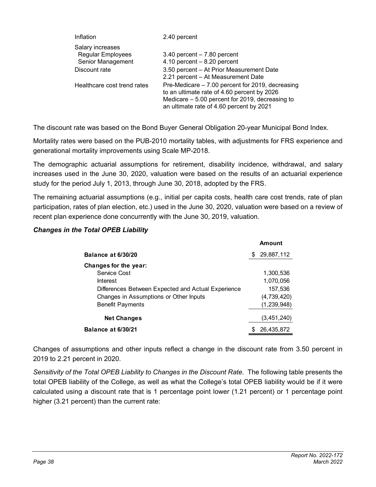| Inflation                                                         | 2.40 percent                                                                                                                                                                                   |
|-------------------------------------------------------------------|------------------------------------------------------------------------------------------------------------------------------------------------------------------------------------------------|
| Salary increases<br><b>Regular Employees</b><br>Senior Management | $3.40$ percent $-7.80$ percent<br>4.10 percent $-8.20$ percent                                                                                                                                 |
| Discount rate                                                     | 3.50 percent - At Prior Measurement Date<br>2.21 percent - At Measurement Date                                                                                                                 |
| Healthcare cost trend rates                                       | Pre-Medicare – 7.00 percent for 2019, decreasing<br>to an ultimate rate of 4.60 percent by 2026<br>Medicare - 5.00 percent for 2019, decreasing to<br>an ultimate rate of 4.60 percent by 2021 |

The discount rate was based on the Bond Buyer General Obligation 20-year Municipal Bond Index.

Mortality rates were based on the PUB-2010 mortality tables, with adjustments for FRS experience and generational mortality improvements using Scale MP-2018.

The demographic actuarial assumptions for retirement, disability incidence, withdrawal, and salary increases used in the June 30, 2020, valuation were based on the results of an actuarial experience study for the period July 1, 2013, through June 30, 2018, adopted by the FRS.

The remaining actuarial assumptions (e.g., initial per capita costs, health care cost trends, rate of plan participation, rates of plan election, etc.) used in the June 30, 2020, valuation were based on a review of recent plan experience done concurrently with the June 30, 2019, valuation.

#### *Changes in the Total OPEB Liability*

|                                                    |   | Amount        |
|----------------------------------------------------|---|---------------|
| Balance at 6/30/20                                 | S | 29,887,112    |
| Changes for the year:                              |   |               |
| Service Cost                                       |   | 1,300,536     |
| Interest                                           |   | 1,070,056     |
| Differences Between Expected and Actual Experience |   | 157,536       |
| Changes in Assumptions or Other Inputs             |   | (4,739,420)   |
| <b>Benefit Payments</b>                            |   | (1, 239, 948) |
| <b>Net Changes</b>                                 |   | (3,451,240)   |
| Balance at 6/30/21                                 |   | 26,435,872    |

Changes of assumptions and other inputs reflect a change in the discount rate from 3.50 percent in 2019 to 2.21 percent in 2020.

*Sensitivity of the Total OPEB Liability to Changes in the Discount Rate*. The following table presents the total OPEB liability of the College, as well as what the College's total OPEB liability would be if it were calculated using a discount rate that is 1 percentage point lower (1.21 percent) or 1 percentage point higher (3.21 percent) than the current rate: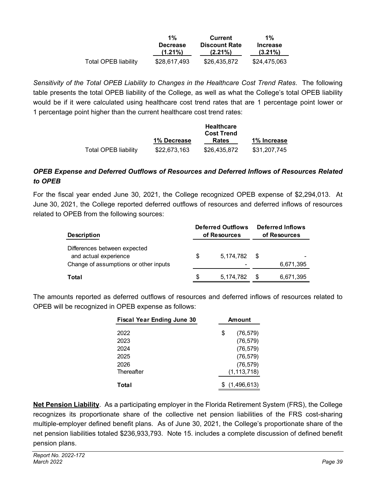|                      | 1%                            | <b>Current</b>                     | $1\%$                         |
|----------------------|-------------------------------|------------------------------------|-------------------------------|
|                      | <b>Decrease</b><br>$(1.21\%)$ | <b>Discount Rate</b><br>$(2.21\%)$ | <b>Increase</b><br>$(3.21\%)$ |
| Total OPEB liability | \$28,617,493                  | \$26.435.872                       | \$24.475.063                  |

*Sensitivity of the Total OPEB Liability to Changes in the Healthcare Cost Trend Rates*. The following table presents the total OPEB liability of the College, as well as what the College's total OPEB liability would be if it were calculated using healthcare cost trend rates that are 1 percentage point lower or 1 percentage point higher than the current healthcare cost trend rates:

|                             |                    | <b>Healthcare</b><br><b>Cost Trend</b> |              |
|-----------------------------|--------------------|----------------------------------------|--------------|
|                             | <b>1% Decrease</b> | <b>Rates</b>                           | 1% Increase  |
| <b>Total OPEB liability</b> | \$22,673,163       | \$26.435.872                           | \$31.207.745 |

## *OPEB Expense and Deferred Outflows of Resources and Deferred Inflows of Resources Related to OPEB*

For the fiscal year ended June 30, 2021, the College recognized OPEB expense of \$2,294,013. At June 30, 2021, the College reported deferred outflows of resources and deferred inflows of resources related to OPEB from the following sources:

| <b>Description</b>                                                                             |    | <b>Deferred Outflows</b><br>of Resources |    | Deferred Inflows<br>of Resources |  |
|------------------------------------------------------------------------------------------------|----|------------------------------------------|----|----------------------------------|--|
| Differences between expected<br>and actual experience<br>Change of assumptions or other inputs | \$ | 5.174.782                                | -S | 6,671,395                        |  |
| Total                                                                                          | S  | 5, 174, 782                              | S  | 6,671,395                        |  |

The amounts reported as deferred outflows of resources and deferred inflows of resources related to OPEB will be recognized in OPEB expense as follows:

| <b>Fiscal Year Ending June 30</b> | Amount |               |  |
|-----------------------------------|--------|---------------|--|
| 2022                              | \$     | (76, 579)     |  |
| 2023                              |        | (76, 579)     |  |
| 2024                              |        | (76, 579)     |  |
| 2025                              |        | (76, 579)     |  |
| 2026                              |        | (76, 579)     |  |
| Thereafter                        |        | (1, 113, 718) |  |
| Total                             |        | (1, 496, 613) |  |

**Net Pension Liability**. As a participating employer in the Florida Retirement System (FRS), the College recognizes its proportionate share of the collective net pension liabilities of the FRS cost-sharing multiple-employer defined benefit plans. As of June 30, 2021, the College's proportionate share of the net pension liabilities totaled \$236,933,793. Note 15. includes a complete discussion of defined benefit pension plans.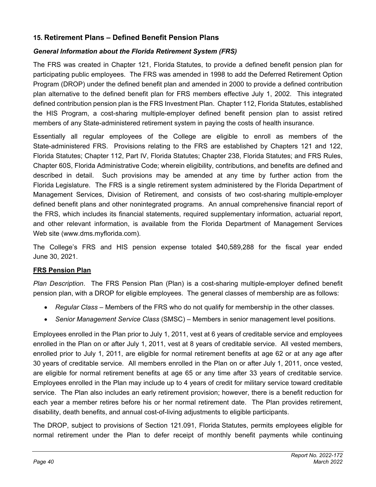## **15. Retirement Plans – Defined Benefit Pension Plans**

## *General Information about the Florida Retirement System (FRS)*

The FRS was created in Chapter 121, Florida Statutes, to provide a defined benefit pension plan for participating public employees. The FRS was amended in 1998 to add the Deferred Retirement Option Program (DROP) under the defined benefit plan and amended in 2000 to provide a defined contribution plan alternative to the defined benefit plan for FRS members effective July 1, 2002. This integrated defined contribution pension plan is the FRS Investment Plan. Chapter 112, Florida Statutes, established the HIS Program, a cost-sharing multiple-employer defined benefit pension plan to assist retired members of any State-administered retirement system in paying the costs of health insurance.

Essentially all regular employees of the College are eligible to enroll as members of the State-administered FRS. Provisions relating to the FRS are established by Chapters 121 and 122, Florida Statutes; Chapter 112, Part IV, Florida Statutes; Chapter 238, Florida Statutes; and FRS Rules, Chapter 60S, Florida Administrative Code; wherein eligibility, contributions, and benefits are defined and described in detail. Such provisions may be amended at any time by further action from the Florida Legislature. The FRS is a single retirement system administered by the Florida Department of Management Services, Division of Retirement, and consists of two cost-sharing multiple-employer defined benefit plans and other nonintegrated programs. An annual comprehensive financial report of the FRS, which includes its financial statements, required supplementary information, actuarial report, and other relevant information, is available from the Florida Department of Management Services Web site (www.dms.myflorida.com).

The College's FRS and HIS pension expense totaled \$40,589,288 for the fiscal year ended June 30, 2021.

#### **FRS Pension Plan**

*Plan Description*. The FRS Pension Plan (Plan) is a cost-sharing multiple-employer defined benefit pension plan, with a DROP for eligible employees. The general classes of membership are as follows:

- *Regular Class* Members of the FRS who do not qualify for membership in the other classes.
- *Senior Management Service Class* (SMSC) Members in senior management level positions.

Employees enrolled in the Plan prior to July 1, 2011, vest at 6 years of creditable service and employees enrolled in the Plan on or after July 1, 2011, vest at 8 years of creditable service. All vested members, enrolled prior to July 1, 2011, are eligible for normal retirement benefits at age 62 or at any age after 30 years of creditable service. All members enrolled in the Plan on or after July 1, 2011, once vested, are eligible for normal retirement benefits at age 65 or any time after 33 years of creditable service. Employees enrolled in the Plan may include up to 4 years of credit for military service toward creditable service. The Plan also includes an early retirement provision; however, there is a benefit reduction for each year a member retires before his or her normal retirement date. The Plan provides retirement, disability, death benefits, and annual cost-of-living adjustments to eligible participants.

The DROP, subject to provisions of Section 121.091, Florida Statutes, permits employees eligible for normal retirement under the Plan to defer receipt of monthly benefit payments while continuing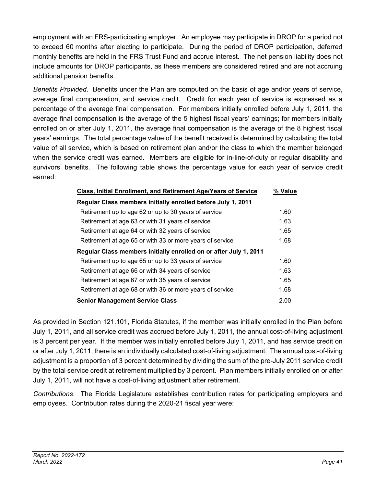employment with an FRS-participating employer. An employee may participate in DROP for a period not to exceed 60 months after electing to participate. During the period of DROP participation, deferred monthly benefits are held in the FRS Trust Fund and accrue interest. The net pension liability does not include amounts for DROP participants, as these members are considered retired and are not accruing additional pension benefits.

*Benefits Provided*. Benefits under the Plan are computed on the basis of age and/or years of service, average final compensation, and service credit. Credit for each year of service is expressed as a percentage of the average final compensation. For members initially enrolled before July 1, 2011, the average final compensation is the average of the 5 highest fiscal years' earnings; for members initially enrolled on or after July 1, 2011, the average final compensation is the average of the 8 highest fiscal years' earnings. The total percentage value of the benefit received is determined by calculating the total value of all service, which is based on retirement plan and/or the class to which the member belonged when the service credit was earned. Members are eligible for in-line-of-duty or regular disability and survivors' benefits. The following table shows the percentage value for each year of service credit earned:

| Class, Initial Enrollment, and Retirement Age/Years of Service    | % Value |
|-------------------------------------------------------------------|---------|
| Regular Class members initially enrolled before July 1, 2011      |         |
| Retirement up to age 62 or up to 30 years of service              | 1.60    |
| Retirement at age 63 or with 31 years of service                  | 1.63    |
| Retirement at age 64 or with 32 years of service                  | 1.65    |
| Retirement at age 65 or with 33 or more years of service          | 1.68    |
| Regular Class members initially enrolled on or after July 1, 2011 |         |
| Retirement up to age 65 or up to 33 years of service              | 1.60    |
| Retirement at age 66 or with 34 years of service                  | 1.63    |
| Retirement at age 67 or with 35 years of service                  | 1.65    |
| Retirement at age 68 or with 36 or more years of service          | 1.68    |
| <b>Senior Management Service Class</b>                            | 2.00    |

As provided in Section 121.101, Florida Statutes, if the member was initially enrolled in the Plan before July 1, 2011, and all service credit was accrued before July 1, 2011, the annual cost-of-living adjustment is 3 percent per year. If the member was initially enrolled before July 1, 2011, and has service credit on or after July 1, 2011, there is an individually calculated cost-of-living adjustment. The annual cost-of-living adjustment is a proportion of 3 percent determined by dividing the sum of the pre-July 2011 service credit by the total service credit at retirement multiplied by 3 percent. Plan members initially enrolled on or after July 1, 2011, will not have a cost-of-living adjustment after retirement.

*Contributions*. The Florida Legislature establishes contribution rates for participating employers and employees. Contribution rates during the 2020-21 fiscal year were: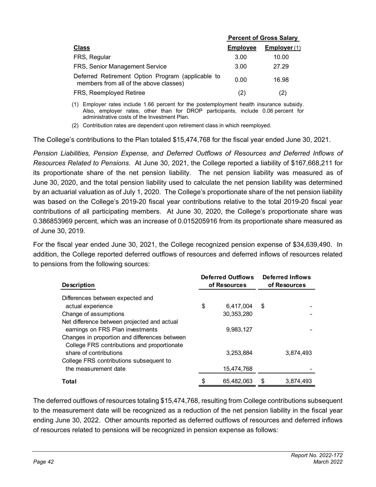|                                                                                             | <b>Percent of Gross Salary</b> |             |  |  |
|---------------------------------------------------------------------------------------------|--------------------------------|-------------|--|--|
| <b>Class</b>                                                                                | <b>Employee</b>                | Emplover(1) |  |  |
| FRS, Regular                                                                                | 3.00                           | 10.00       |  |  |
| FRS, Senior Management Service                                                              | 3.00                           | 27.29       |  |  |
| Deferred Retirement Option Program (applicable to<br>members from all of the above classes) | 0.00                           | 16.98       |  |  |
| FRS, Reemployed Retiree                                                                     | (2)                            | (2)         |  |  |

(1) Employer rates include 1.66 percent for the postemployment health insurance subsidy. Also, employer rates, other than for DROP participants, include 0.06 percent for administrative costs of the Investment Plan.

(2) Contribution rates are dependent upon retirement class in which reemployed.

The College's contributions to the Plan totaled \$15,474,768 for the fiscal year ended June 30, 2021.

*Pension Liabilities, Pension Expense, and Deferred Outflows of Resources and Deferred Inflows of Resources Related to Pensions*. At June 30, 2021, the College reported a liability of \$167,668,211 for its proportionate share of the net pension liability. The net pension liability was measured as of June 30, 2020, and the total pension liability used to calculate the net pension liability was determined by an actuarial valuation as of July 1, 2020. The College's proportionate share of the net pension liability was based on the College's 2019-20 fiscal year contributions relative to the total 2019-20 fiscal year contributions of all participating members. At June 30, 2020, the College's proportionate share was 0.386853969 percent, which was an increase of 0.015205916 from its proportionate share measured as of June 30, 2019.

For the fiscal year ended June 30, 2021, the College recognized pension expense of \$34,639,490. In addition, the College reported deferred outflows of resources and deferred inflows of resources related to pensions from the following sources:

| <b>Description</b>                            | <b>Deferred Outflows</b><br>of Resources |            | <b>Deferred Inflows</b><br>of Resources |           |
|-----------------------------------------------|------------------------------------------|------------|-----------------------------------------|-----------|
| Differences between expected and              |                                          |            |                                         |           |
| actual experience                             | \$                                       | 6.417.004  | \$                                      |           |
| Change of assumptions                         |                                          | 30.353.280 |                                         |           |
| Net difference between projected and actual   |                                          |            |                                         |           |
| earnings on FRS Plan investments              |                                          | 9.983.127  |                                         |           |
| Changes in proportion and differences between |                                          |            |                                         |           |
| College FRS contributions and proportionate   |                                          |            |                                         |           |
| share of contributions                        |                                          | 3.253.884  |                                         | 3,874,493 |
| College FRS contributions subsequent to       |                                          |            |                                         |           |
| the measurement date                          |                                          | 15,474,768 |                                         |           |
| Total                                         | \$                                       | 65.482.063 | S                                       | 3.874.493 |

The deferred outflows of resources totaling \$15,474,768, resulting from College contributions subsequent to the measurement date will be recognized as a reduction of the net pension liability in the fiscal year ending June 30, 2022. Other amounts reported as deferred outflows of resources and deferred inflows of resources related to pensions will be recognized in pension expense as follows: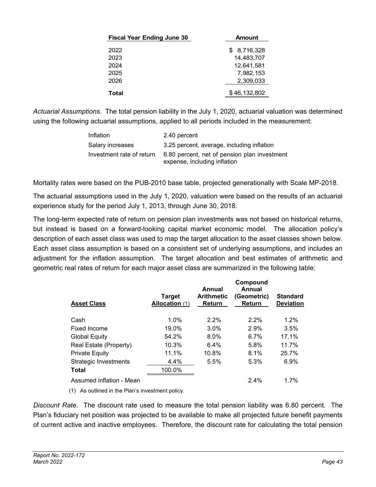| <b>Fiscal Year Ending June 30</b> | <b>Amount</b> |
|-----------------------------------|---------------|
| 2022                              | \$ 8,716,328  |
| 2023                              | 14,483,707    |
| 2024                              | 12,641,581    |
| 2025                              | 7,982,153     |
| 2026                              | 2,309,033     |
| Total                             | \$46,132,802  |

*Actuarial Assumptions*. The total pension liability in the July 1, 2020, actuarial valuation was determined using the following actuarial assumptions, applied to all periods included in the measurement:

| Inflation                 | 2.40 percent                                                                 |
|---------------------------|------------------------------------------------------------------------------|
| Salary increases          | 3.25 percent, average, including inflation                                   |
| Investment rate of return | 6.80 percent, net of pension plan investment<br>expense, including inflation |

Mortality rates were based on the PUB-2010 base table, projected generationally with Scale MP-2018.

The actuarial assumptions used in the July 1, 2020, valuation were based on the results of an actuarial experience study for the period July 1, 2013, through June 30, 2018.

The long-term expected rate of return on pension plan investments was not based on historical returns, but instead is based on a forward-looking capital market economic model. The allocation policy's description of each asset class was used to map the target allocation to the asset classes shown below. Each asset class assumption is based on a consistent set of underlying assumptions, and includes an adjustment for the inflation assumption. The target allocation and best estimates of arithmetic and geometric real rates of return for each major asset class are summarized in the following table:

| <b>Asset Class</b>           | <b>Target</b><br>Allocation (1) | Annual<br><b>Arithmetic</b><br>Return | Compound<br>Annual<br>(Geometric)<br>Return | <b>Standard</b><br><b>Deviation</b> |
|------------------------------|---------------------------------|---------------------------------------|---------------------------------------------|-------------------------------------|
| Cash                         | 1.0%                            | $2.2\%$                               | $2.2\%$                                     | 1.2%                                |
| Fixed Income                 | 19.0%                           | 3.0%                                  | 2.9%                                        | 3.5%                                |
| <b>Global Equity</b>         | 54.2%                           | $8.0\%$                               | 6.7%                                        | 17.1%                               |
| Real Estate (Property)       | 10.3%                           | 6.4%                                  | 5.8%                                        | 11.7%                               |
| <b>Private Equity</b>        | 11.1%                           | 10.8%                                 | 8.1%                                        | 25.7%                               |
| <b>Strategic Investments</b> | 4.4%                            | 5.5%                                  | 5.3%                                        | 6.9%                                |
| <b>Total</b>                 | 100.0%                          |                                       |                                             |                                     |
| Assumed inflation - Mean     |                                 |                                       | 2.4%                                        | 1.7%                                |

(1) As outlined in the Plan's investment policy.

*Discount Rate*. The discount rate used to measure the total pension liability was 6.80 percent. The Plan's fiduciary net position was projected to be available to make all projected future benefit payments of current active and inactive employees. Therefore, the discount rate for calculating the total pension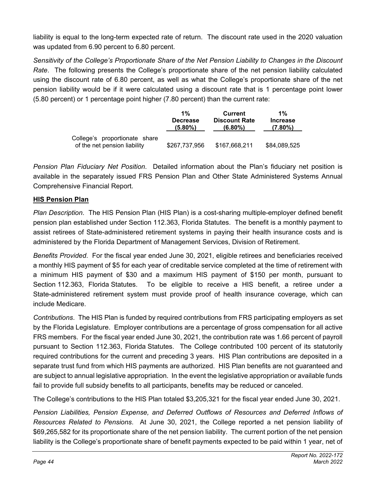liability is equal to the long-term expected rate of return. The discount rate used in the 2020 valuation was updated from 6.90 percent to 6.80 percent.

*Sensitivity of the College's Proportionate Share of the Net Pension Liability to Changes in the Discount Rate*. The following presents the College's proportionate share of the net pension liability calculated using the discount rate of 6.80 percent, as well as what the College's proportionate share of the net pension liability would be if it were calculated using a discount rate that is 1 percentage point lower (5.80 percent) or 1 percentage point higher (7.80 percent) than the current rate:

|                                                               | 1%              | Current              | $1\%$           |
|---------------------------------------------------------------|-----------------|----------------------|-----------------|
|                                                               | <b>Decrease</b> | <b>Discount Rate</b> | <b>Increase</b> |
|                                                               | $(5.80\%)$      | $(6.80\%)$           | $(7.80\%)$      |
| College's proportionate share<br>of the net pension liability | \$267,737,956   | \$167,668,211        | \$84,089,525    |

*Pension Plan Fiduciary Net Position*. Detailed information about the Plan's fiduciary net position is available in the separately issued FRS Pension Plan and Other State Administered Systems Annual Comprehensive Financial Report.

## **HIS Pension Plan**

*Plan Description*. The HIS Pension Plan (HIS Plan) is a cost-sharing multiple-employer defined benefit pension plan established under Section 112.363, Florida Statutes. The benefit is a monthly payment to assist retirees of State-administered retirement systems in paying their health insurance costs and is administered by the Florida Department of Management Services, Division of Retirement.

*Benefits Provided*. For the fiscal year ended June 30, 2021, eligible retirees and beneficiaries received a monthly HIS payment of \$5 for each year of creditable service completed at the time of retirement with a minimum HIS payment of \$30 and a maximum HIS payment of \$150 per month, pursuant to Section 112.363, Florida Statutes. To be eligible to receive a HIS benefit, a retiree under a State-administered retirement system must provide proof of health insurance coverage, which can include Medicare.

*Contributions*. The HIS Plan is funded by required contributions from FRS participating employers as set by the Florida Legislature. Employer contributions are a percentage of gross compensation for all active FRS members. For the fiscal year ended June 30, 2021, the contribution rate was 1.66 percent of payroll pursuant to Section 112.363, Florida Statutes. The College contributed 100 percent of its statutorily required contributions for the current and preceding 3 years. HIS Plan contributions are deposited in a separate trust fund from which HIS payments are authorized. HIS Plan benefits are not guaranteed and are subject to annual legislative appropriation. In the event the legislative appropriation or available funds fail to provide full subsidy benefits to all participants, benefits may be reduced or canceled.

The College's contributions to the HIS Plan totaled \$3,205,321 for the fiscal year ended June 30, 2021.

*Pension Liabilities, Pension Expense, and Deferred Outflows of Resources and Deferred Inflows of Resources Related to Pensions*. At June 30, 2021, the College reported a net pension liability of \$69,265,582 for its proportionate share of the net pension liability. The current portion of the net pension liability is the College's proportionate share of benefit payments expected to be paid within 1 year, net of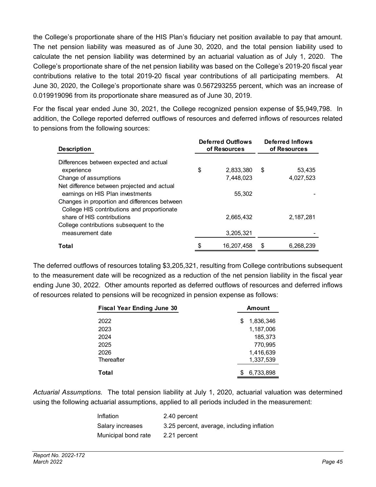the College's proportionate share of the HIS Plan's fiduciary net position available to pay that amount. The net pension liability was measured as of June 30, 2020, and the total pension liability used to calculate the net pension liability was determined by an actuarial valuation as of July 1, 2020. The College's proportionate share of the net pension liability was based on the College's 2019-20 fiscal year contributions relative to the total 2019-20 fiscal year contributions of all participating members. At June 30, 2020, the College's proportionate share was 0.567293255 percent, which was an increase of 0.019919096 from its proportionate share measured as of June 30, 2019.

For the fiscal year ended June 30, 2021, the College recognized pension expense of \$5,949,798. In addition, the College reported deferred outflows of resources and deferred inflows of resources related to pensions from the following sources:

| <b>Description</b>                                                                           | <b>Deferred Outflows</b><br>of Resources |            | <b>Deferred Inflows</b><br>of Resources |             |
|----------------------------------------------------------------------------------------------|------------------------------------------|------------|-----------------------------------------|-------------|
| Differences between expected and actual                                                      |                                          |            |                                         |             |
| experience                                                                                   | \$                                       | 2,833,380  | \$                                      | 53,435      |
| Change of assumptions                                                                        |                                          | 7,448,023  |                                         | 4,027,523   |
| Net difference between projected and actual<br>earnings on HIS Plan investments              |                                          | 55.302     |                                         |             |
| Changes in proportion and differences between<br>College HIS contributions and proportionate |                                          |            |                                         |             |
| share of HIS contributions                                                                   |                                          | 2,665,432  |                                         | 2, 187, 281 |
| College contributions subsequent to the                                                      |                                          |            |                                         |             |
| measurement date                                                                             |                                          | 3,205,321  |                                         |             |
| Total                                                                                        | \$                                       | 16.207.458 | S                                       | 6.268.239   |

The deferred outflows of resources totaling \$3,205,321, resulting from College contributions subsequent to the measurement date will be recognized as a reduction of the net pension liability in the fiscal year ending June 30, 2022. Other amounts reported as deferred outflows of resources and deferred inflows of resources related to pensions will be recognized in pension expense as follows:

| <b>Fiscal Year Ending June 30</b> | Amount          |  |
|-----------------------------------|-----------------|--|
| 2022                              | 1,836,346<br>\$ |  |
| 2023                              | 1,187,006       |  |
| 2024                              | 185,373         |  |
| 2025                              | 770,995         |  |
| 2026                              | 1,416,639       |  |
| Thereafter                        | 1,337,539       |  |
| Total                             | 6,733,898<br>S  |  |

*Actuarial Assumptions.* The total pension liability at July 1, 2020, actuarial valuation was determined using the following actuarial assumptions, applied to all periods included in the measurement:

| Inflation           | 2.40 percent                               |
|---------------------|--------------------------------------------|
| Salary increases    | 3.25 percent, average, including inflation |
| Municipal bond rate | 2.21 percent                               |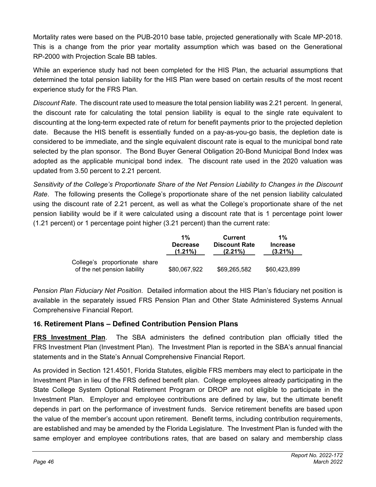Mortality rates were based on the PUB-2010 base table, projected generationally with Scale MP-2018. This is a change from the prior year mortality assumption which was based on the Generational RP-2000 with Projection Scale BB tables.

While an experience study had not been completed for the HIS Plan, the actuarial assumptions that determined the total pension liability for the HIS Plan were based on certain results of the most recent experience study for the FRS Plan.

*Discount Rate*. The discount rate used to measure the total pension liability was 2.21 percent. In general, the discount rate for calculating the total pension liability is equal to the single rate equivalent to discounting at the long-term expected rate of return for benefit payments prior to the projected depletion date. Because the HIS benefit is essentially funded on a pay-as-you-go basis, the depletion date is considered to be immediate, and the single equivalent discount rate is equal to the municipal bond rate selected by the plan sponsor. The Bond Buyer General Obligation 20-Bond Municipal Bond Index was adopted as the applicable municipal bond index. The discount rate used in the 2020 valuation was updated from 3.50 percent to 2.21 percent.

*Sensitivity of the College's Proportionate Share of the Net Pension Liability to Changes in the Discount Rate*. The following presents the College's proportionate share of the net pension liability calculated using the discount rate of 2.21 percent, as well as what the College's proportionate share of the net pension liability would be if it were calculated using a discount rate that is 1 percentage point lower (1.21 percent) or 1 percentage point higher (3.21 percent) than the current rate:

|                                                               | 1%              | <b>Current</b>       | 1%              |
|---------------------------------------------------------------|-----------------|----------------------|-----------------|
|                                                               | <b>Decrease</b> | <b>Discount Rate</b> | <b>Increase</b> |
|                                                               | $(1.21\%)$      | $(2.21\%)$           | $(3.21\%)$      |
| College's proportionate share<br>of the net pension liability | \$80,067,922    | \$69,265,582         | \$60,423,899    |

*Pension Plan Fiduciary Net Position*. Detailed information about the HIS Plan's fiduciary net position is available in the separately issued FRS Pension Plan and Other State Administered Systems Annual Comprehensive Financial Report.

## **16. Retirement Plans – Defined Contribution Pension Plans**

**FRS Investment Plan**. The SBA administers the defined contribution plan officially titled the FRS Investment Plan (Investment Plan). The Investment Plan is reported in the SBA's annual financial statements and in the State's Annual Comprehensive Financial Report.

As provided in Section 121.4501, Florida Statutes, eligible FRS members may elect to participate in the Investment Plan in lieu of the FRS defined benefit plan. College employees already participating in the State College System Optional Retirement Program or DROP are not eligible to participate in the Investment Plan. Employer and employee contributions are defined by law, but the ultimate benefit depends in part on the performance of investment funds. Service retirement benefits are based upon the value of the member's account upon retirement. Benefit terms, including contribution requirements, are established and may be amended by the Florida Legislature. The Investment Plan is funded with the same employer and employee contributions rates, that are based on salary and membership class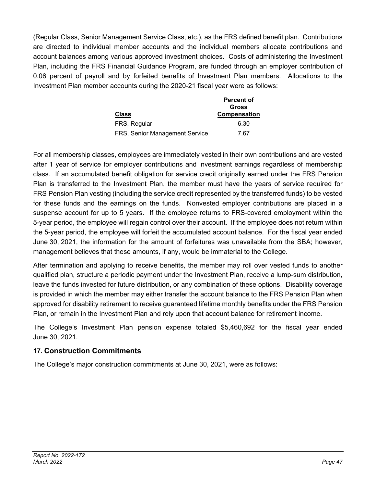(Regular Class, Senior Management Service Class, etc.), as the FRS defined benefit plan. Contributions are directed to individual member accounts and the individual members allocate contributions and account balances among various approved investment choices. Costs of administering the Investment Plan, including the FRS Financial Guidance Program, are funded through an employer contribution of 0.06 percent of payroll and by forfeited benefits of Investment Plan members. Allocations to the Investment Plan member accounts during the 2020-21 fiscal year were as follows:

|                                | Percent of   |  |
|--------------------------------|--------------|--|
|                                | Gross        |  |
| <b>Class</b>                   | Compensation |  |
| FRS, Regular                   | 6.30         |  |
| FRS, Senior Management Service | 7 67         |  |

For all membership classes, employees are immediately vested in their own contributions and are vested after 1 year of service for employer contributions and investment earnings regardless of membership class. If an accumulated benefit obligation for service credit originally earned under the FRS Pension Plan is transferred to the Investment Plan, the member must have the years of service required for FRS Pension Plan vesting (including the service credit represented by the transferred funds) to be vested for these funds and the earnings on the funds. Nonvested employer contributions are placed in a suspense account for up to 5 years. If the employee returns to FRS-covered employment within the 5-year period, the employee will regain control over their account. If the employee does not return within the 5-year period, the employee will forfeit the accumulated account balance. For the fiscal year ended June 30, 2021, the information for the amount of forfeitures was unavailable from the SBA; however, management believes that these amounts, if any, would be immaterial to the College.

After termination and applying to receive benefits, the member may roll over vested funds to another qualified plan, structure a periodic payment under the Investment Plan, receive a lump-sum distribution, leave the funds invested for future distribution, or any combination of these options. Disability coverage is provided in which the member may either transfer the account balance to the FRS Pension Plan when approved for disability retirement to receive guaranteed lifetime monthly benefits under the FRS Pension Plan, or remain in the Investment Plan and rely upon that account balance for retirement income.

The College's Investment Plan pension expense totaled \$5,460,692 for the fiscal year ended June 30, 2021.

## **17. Construction Commitments**

The College's major construction commitments at June 30, 2021, were as follows: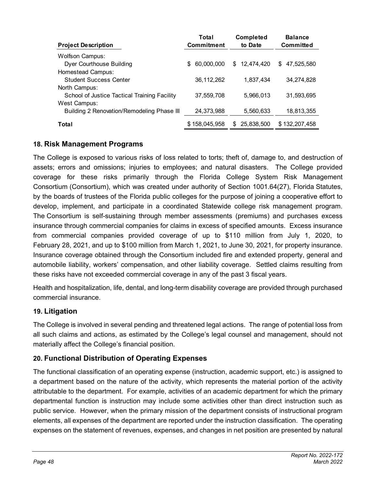| <b>Project Description</b>                   | Total<br><b>Commitment</b> | <b>Completed</b><br>to Date | <b>Balance</b><br>Committed |  |
|----------------------------------------------|----------------------------|-----------------------------|-----------------------------|--|
| <b>Wolfson Campus:</b>                       |                            |                             |                             |  |
| <b>Dyer Courthouse Building</b>              | 60,000,000<br>\$           | 12,474,420<br>\$            | 47,525,580<br>\$.           |  |
| Homestead Campus:                            |                            |                             |                             |  |
| <b>Student Success Center</b>                | 36, 112, 262               | 1,837,434                   | 34,274,828                  |  |
| North Campus:                                |                            |                             |                             |  |
| School of Justice Tactical Training Facility | 37,559,708                 | 5,966,013                   | 31,593,695                  |  |
| West Campus:                                 |                            |                             |                             |  |
| Building 2 Renovation/Remodeling Phase III   | 24,373,988                 | 5,560,633                   | 18,813,355                  |  |
| Total                                        | \$158,045,958              | 25,838,500<br>S             | \$132,207,458               |  |

## **18. Risk Management Programs**

The College is exposed to various risks of loss related to torts; theft of, damage to, and destruction of assets; errors and omissions; injuries to employees; and natural disasters. The College provided coverage for these risks primarily through the Florida College System Risk Management Consortium (Consortium), which was created under authority of Section 1001.64(27), Florida Statutes, by the boards of trustees of the Florida public colleges for the purpose of joining a cooperative effort to develop, implement, and participate in a coordinated Statewide college risk management program. The Consortium is self-sustaining through member assessments (premiums) and purchases excess insurance through commercial companies for claims in excess of specified amounts. Excess insurance from commercial companies provided coverage of up to \$110 million from July 1, 2020, to February 28, 2021, and up to \$100 million from March 1, 2021, to June 30, 2021, for property insurance. Insurance coverage obtained through the Consortium included fire and extended property, general and automobile liability, workers' compensation, and other liability coverage. Settled claims resulting from these risks have not exceeded commercial coverage in any of the past 3 fiscal years.

Health and hospitalization, life, dental, and long-term disability coverage are provided through purchased commercial insurance.

#### **19. Litigation**

The College is involved in several pending and threatened legal actions. The range of potential loss from all such claims and actions, as estimated by the College's legal counsel and management, should not materially affect the College's financial position.

## **20. Functional Distribution of Operating Expenses**

The functional classification of an operating expense (instruction, academic support, etc.) is assigned to a department based on the nature of the activity, which represents the material portion of the activity attributable to the department. For example, activities of an academic department for which the primary departmental function is instruction may include some activities other than direct instruction such as public service. However, when the primary mission of the department consists of instructional program elements, all expenses of the department are reported under the instruction classification. The operating expenses on the statement of revenues, expenses, and changes in net position are presented by natural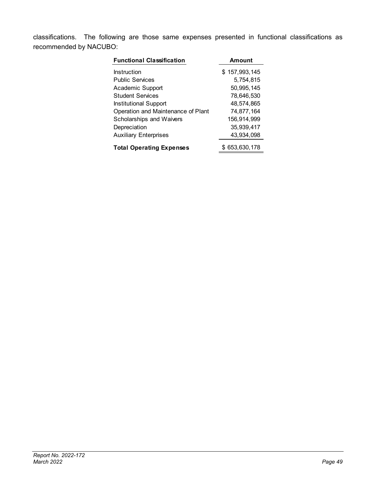classifications. The following are those same expenses presented in functional classifications as recommended by NACUBO:

| <b>Functional Classification</b>   | Amount             |
|------------------------------------|--------------------|
| Instruction                        | \$157.993.145      |
| <b>Public Services</b>             | 5,754,815          |
| Academic Support                   | 50.995.145         |
| <b>Student Services</b>            | 78,646,530         |
| <b>Institutional Support</b>       | 48,574,865         |
| Operation and Maintenance of Plant | 74,877,164         |
| Scholarships and Waivers           | 156,914,999        |
| Depreciation                       | 35,939,417         |
| <b>Auxiliary Enterprises</b>       | 43,934,098         |
| <b>Total Operating Expenses</b>    | 653,630,178<br>SS. |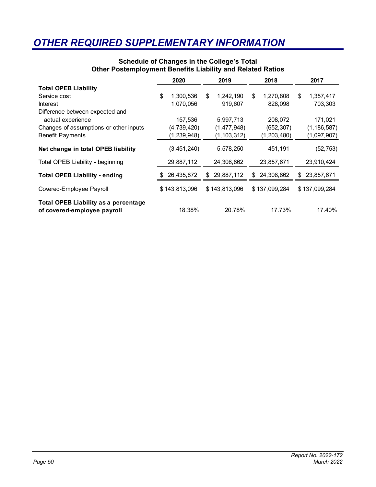## <span id="page-53-0"></span>*OTHER REQUIRED SUPPLEMENTARY INFORMATION*

|                                                                            | 2020            | 2019             |    | 2018          |    | 2017          |
|----------------------------------------------------------------------------|-----------------|------------------|----|---------------|----|---------------|
| <b>Total OPEB Liability</b>                                                |                 |                  |    |               |    |               |
| Service cost                                                               | \$<br>1,300,536 | \$<br>1,242,190  | \$ | 1,270,808     | \$ | 1,357,417     |
| <b>Interest</b>                                                            | 1,070,056       | 919,607          |    | 828,098       |    | 703,303       |
| Difference between expected and                                            |                 |                  |    |               |    |               |
| actual experience                                                          | 157,536         | 5,997,713        |    | 208,072       |    | 171,021       |
| Changes of assumptions or other inputs                                     | (4,739,420)     | (1, 477, 948)    |    | (652, 307)    |    | (1, 186, 587) |
| <b>Benefit Payments</b>                                                    | (1, 239, 948)   | (1, 103, 312)    |    | (1,203,480)   |    | (1,097,907)   |
| Net change in total OPEB liability                                         | (3,451,240)     | 5,578,250        |    | 451,191       |    | (52, 753)     |
| Total OPEB Liability - beginning                                           | 29,887,112      | 24,308,862       |    | 23,857,671    |    | 23,910,424    |
| <b>Total OPEB Liability - ending</b>                                       | 26,435,872      | \$<br>29,887,112 | S. | 24,308,862    | S. | 23,857,671    |
| Covered-Employee Payroll                                                   | \$143,813,096   | \$143,813,096    |    | \$137,099,284 |    | \$137,099,284 |
| <b>Total OPEB Liability as a percentage</b><br>of covered-employee payroll | 18.38%          | 20.78%           |    | 17.73%        |    | 17.40%        |

#### **Schedule of Changes in the College's Total Other Postemployment Benefits Liability and Related Ratios**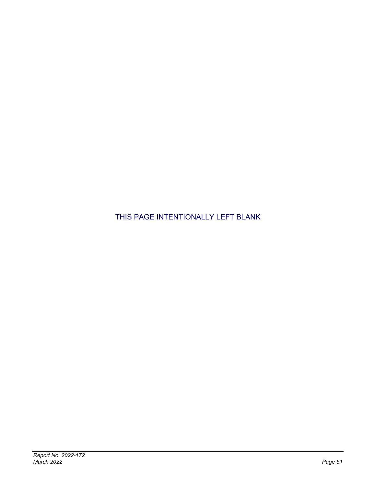THIS PAGE INTENTIONALLY LEFT BLANK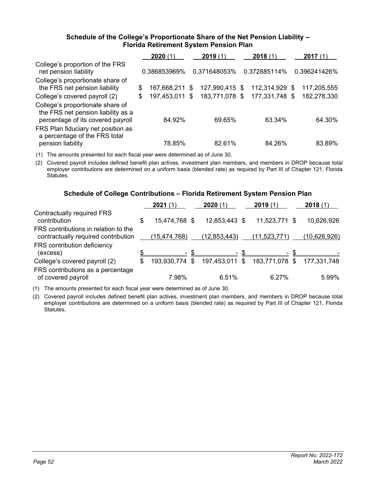#### **Schedule of the College's Proportionate Share of the Net Pension Liability – Florida Retirement System Pension Plan**

<span id="page-55-0"></span>

|                                                                                                             | 2020(1)           |    | 2019(1)        | 2018(1)        |   | 2017 (1      |
|-------------------------------------------------------------------------------------------------------------|-------------------|----|----------------|----------------|---|--------------|
| College's proportion of the FRS<br>net pension liability<br>College's proportionate share of                | 0.386853969%      |    | 0.371648053%   | 0.372885114%   |   | 0.396241426% |
| the FRS net pension liability                                                                               | \$<br>167,668,211 | S  | 127,990,415 \$ | 112,314,929    | S | 117,205,555  |
| College's covered payroll (2)                                                                               | \$<br>197,453,011 | \$ | 183,771,078 \$ | 177,331,748 \$ |   | 182,278,330  |
| College's proportionate share of<br>the FRS net pension liability as a<br>percentage of its covered payroll | 84.92%            |    | 69.65%         | 63.34%         |   | 64.30%       |
| FRS Plan fiduciary net position as<br>a percentage of the FRS total<br>pension liability                    | 78.85%            |    | 82.61%         | 84.26%         |   | 83.89%       |

(1) The amounts presented for each fiscal year were determined as of June 30.

(2) Covered payroll includes defined benefit plan actives, investment plan members, and members in DROP because total employer contributions are determined on a uniform basis (blended rate) as required by Part III of Chapter 121, Florida Statutes.

#### **Schedule of College Contributions – Florida Retirement System Pension Plan**

|                                                                             |    | 2021(1)        | 2020(1)        | 2019(1)        | 2018(1)      |
|-----------------------------------------------------------------------------|----|----------------|----------------|----------------|--------------|
| <b>Contractually required FRS</b><br>contribution                           | \$ | 15,474,768 \$  | 12,853,443 \$  | 11,523,771 \$  | 10,626,926   |
| FRS contributions in relation to the<br>contractually required contribution |    | (15, 474, 768) | (12, 853, 443) | (11,523,771)   | (10,626,926) |
| FRS contribution deficiency<br>(excess)                                     |    |                |                |                |              |
| College's covered payroll (2)                                               | S  | 193,930,774 \$ | 197,453,011 \$ | 183,771,078 \$ | 177.331.748  |
| FRS contributions as a percentage<br>of covered payroll                     |    | 7.98%          | 6.51%          | 6.27%          | 5.99%        |

(1) The amounts presented for each fiscal year were determined as of June 30.

(2) Covered payroll includes defined benefit plan actives, investment plan members, and members in DROP because total employer contributions are determined on a uniform basis (blended rate) as required by Part III of Chapter 121, Florida Statutes.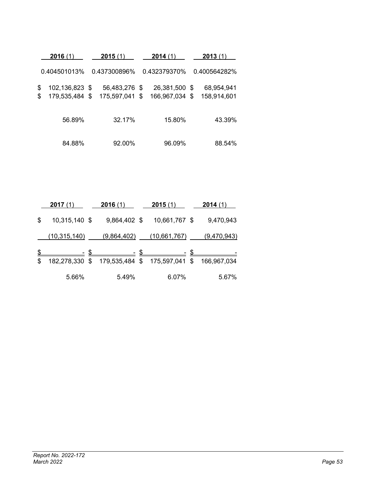|          | 2016(1)                          | 2015(1)                   |           | 2014(1)                         | 2013(1)                   |
|----------|----------------------------------|---------------------------|-----------|---------------------------------|---------------------------|
|          | 0.404501013%                     | 0.437300896%              |           | 0.432379370%                    | 0.400564282%              |
| \$<br>\$ | 102,136,823 \$<br>179,535,484 \$ | 56,483,276<br>175,597,041 | - \$<br>S | 26,381,500 \$<br>166,967,034 \$ | 68,954,941<br>158,914,601 |
|          | 56.89%                           | 32.17%                    |           | 15.80%                          | 43.39%                    |
|          | 84.88%                           | 92.00%                    |           | 96.09%                          | 88.54%                    |

| 2017 (1              | 2016(1)                       | 2015(1)       | 2014(       |
|----------------------|-------------------------------|---------------|-------------|
| \$<br>10,315,140 \$  | 9,864,402 \$                  | 10,661,767 \$ | 9,470,943   |
| (10, 315, 140)       | (9,864,402)                   | (10,661,767)  | (9,470,943) |
| \$<br>182,278,330 \$ | 179,535,484 \$ 175,597,041 \$ |               | 166,967,034 |
| 5.66%                | 5.49%                         | 6.07%         | 5.67%       |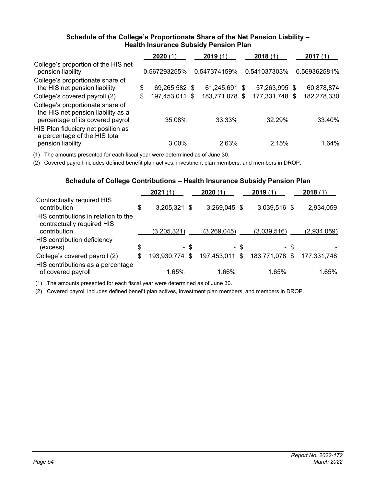#### **Schedule of the College's Proportionate Share of the Net Pension Liability – Health Insurance Subsidy Pension Plan**

<span id="page-57-0"></span>

|                                                                                                             | 2020(1)              | 2019(1)        | 2018(1)        | 2017         |
|-------------------------------------------------------------------------------------------------------------|----------------------|----------------|----------------|--------------|
| College's proportion of the HIS net<br>pension liability<br>College's proportionate share of                | 0.567293255%         | 0.547374159%   | 0.541037303%   | 0.569362581% |
| the HIS net pension liability                                                                               | \$<br>69,265,582 \$  | 61,245,691 \$  | 57,263,995 \$  | 60,878,874   |
| College's covered payroll (2)                                                                               | \$<br>197,453,011 \$ | 183,771,078 \$ | 177,331,748 \$ | 182,278,330  |
| College's proportionate share of<br>the HIS net pension liability as a<br>percentage of its covered payroll | 35.08%               | 33.33%         | 32.29%         | 33.40%       |
| HIS Plan fiduciary net position as<br>a percentage of the HIS total<br>pension liability                    | $3.00\%$             | 2.63%          | 2.15%          | 1.64%        |

(1) The amounts presented for each fiscal year were determined as of June 30.

(2) Covered payroll includes defined benefit plan actives, investment plan members, and members in DROP.

#### **Schedule of College Contributions – Health Insurance Subsidy Pension Plan**

|                                                                    | 2021(1)            | 2020(1)      | 2019(1)                       | 2018(1)     |
|--------------------------------------------------------------------|--------------------|--------------|-------------------------------|-------------|
| Contractually required HIS<br>contribution                         | \$<br>3,205,321 \$ | 3,269,045 \$ | 3,039,516 \$                  | 2,934,059   |
| HIS contributions in relation to the<br>contractually required HIS |                    |              |                               |             |
| contribution                                                       | (3,205,321)        | (3,269,045)  | (3,039,516)                   | (2,934,059) |
| HIS contribution deficiency                                        |                    |              |                               |             |
| (excess)                                                           |                    |              |                               |             |
| College's covered payroll (2)                                      | \$<br>193,930,774  | \$           | 197,453,011 \$ 183,771,078 \$ | 177,331,748 |
| HIS contributions as a percentage<br>of covered payroll            | 1.65%              | 1.66%        | 1.65%                         | 1.65%       |

(1) The amounts presented for each fiscal year were determined as of June 30.

(2) Covered payroll includes defined benefit plan actives, investment plan members, and members in DROP.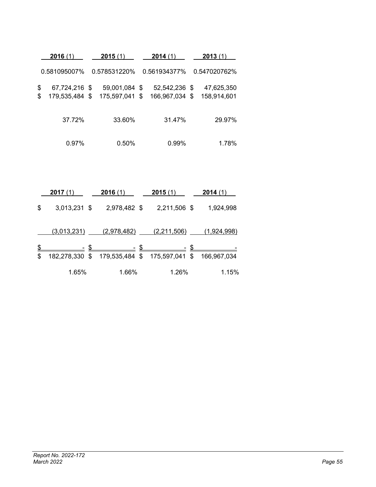|          | 2016(1)                         | 2015(1)                         | 2014(1)                         | 2013(1)                   |
|----------|---------------------------------|---------------------------------|---------------------------------|---------------------------|
|          | 0.581095007%                    | 0.578531220%                    | 0.561934377%                    | 0.547020762%              |
| \$<br>\$ | 67,724,216 \$<br>179,535,484 \$ | 59,001,084 \$<br>175,597,041 \$ | 52,542,236 \$<br>166,967,034 \$ | 47,625,350<br>158,914,601 |
|          | 37.72%                          | 33.60%                          | 31.47%                          | 29.97%                    |
|          | 0.97%                           | 0.50%                           | $0.99\%$                        | 1.78%                     |

| 2017(1)              | 2016(1)      | 2015(1)                                      | 2014(1)     |
|----------------------|--------------|----------------------------------------------|-------------|
| \$<br>$3,013,231$ \$ | 2,978,482 \$ | 2,211,506 \$                                 | 1,924,998   |
| (3,013,231)          | (2,978,482)  | (2,211,506)                                  | (1,924,998) |
|                      |              |                                              |             |
| \$                   |              | 182,278,330 \$ 179,535,484 \$ 175,597,041 \$ | 166,967,034 |
| 1.65%                | 1.66%        | 1.26%                                        | 1.15%       |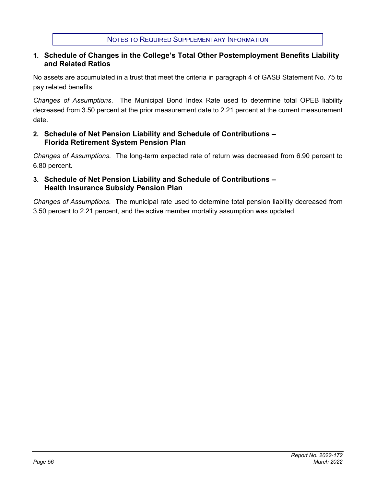## <span id="page-59-0"></span>**1. Schedule of Changes in the College's Total Other Postemployment Benefits Liability and Related Ratios**

No assets are accumulated in a trust that meet the criteria in paragraph 4 of GASB Statement No. 75 to pay related benefits.

*Changes of Assumptions*. The Municipal Bond Index Rate used to determine total OPEB liability decreased from 3.50 percent at the prior measurement date to 2.21 percent at the current measurement date.

### **2. Schedule of Net Pension Liability and Schedule of Contributions – Florida Retirement System Pension Plan**

*Changes of Assumptions.* The long-term expected rate of return was decreased from 6.90 percent to 6.80 percent.

## **3. Schedule of Net Pension Liability and Schedule of Contributions – Health Insurance Subsidy Pension Plan**

*Changes of Assumptions.* The municipal rate used to determine total pension liability decreased from 3.50 percent to 2.21 percent, and the active member mortality assumption was updated.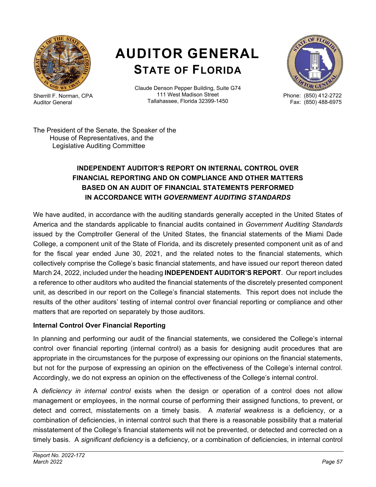<span id="page-60-0"></span>

Sherrill F. Norman, CPA Auditor General

# **AUDITOR GENERAL STATE OF FLORIDA**

Claude Denson Pepper Building, Suite G74 111 West Madison Street Tallahassee, Florida 32399-1450



Phone: (850) 412-2722 Fax: (850) 488-6975

The President of the Senate, the Speaker of the House of Representatives, and the Legislative Auditing Committee

## **INDEPENDENT AUDITOR'S REPORT ON INTERNAL CONTROL OVER FINANCIAL REPORTING AND ON COMPLIANCE AND OTHER MATTERS BASED ON AN AUDIT OF FINANCIAL STATEMENTS PERFORMED IN ACCORDANCE WITH** *GOVERNMENT AUDITING STANDARDS*

We have audited, in accordance with the auditing standards generally accepted in the United States of America and the standards applicable to financial audits contained in *Government Auditing Standards* issued by the Comptroller General of the United States, the financial statements of the Miami Dade College, a component unit of the State of Florida, and its discretely presented component unit as of and for the fiscal year ended June 30, 2021, and the related notes to the financial statements, which collectively comprise the College's basic financial statements, and have issued our report thereon dated March 24, 2022, included under the heading **INDEPENDENT AUDITOR'S REPORT**. Our report includes a reference to other auditors who audited the financial statements of the discretely presented component unit, as described in our report on the College's financial statements. This report does not include the results of the other auditors' testing of internal control over financial reporting or compliance and other matters that are reported on separately by those auditors.

## **Internal Control Over Financial Reporting**

In planning and performing our audit of the financial statements, we considered the College's internal control over financial reporting (internal control) as a basis for designing audit procedures that are appropriate in the circumstances for the purpose of expressing our opinions on the financial statements, but not for the purpose of expressing an opinion on the effectiveness of the College's internal control. Accordingly, we do not express an opinion on the effectiveness of the College's internal control.

A *deficiency in internal control* exists when the design or operation of a control does not allow management or employees, in the normal course of performing their assigned functions, to prevent, or detect and correct, misstatements on a timely basis. A *material weakness* is a deficiency, or a combination of deficiencies, in internal control such that there is a reasonable possibility that a material misstatement of the College's financial statements will not be prevented, or detected and corrected on a timely basis. A *significant deficiency* is a deficiency, or a combination of deficiencies, in internal control